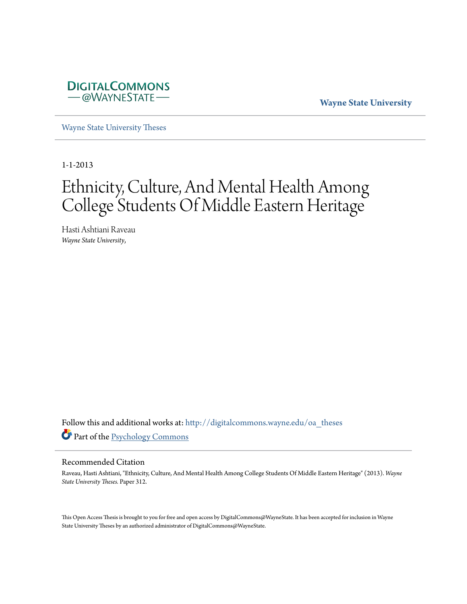

**Wayne State University**

[Wayne State University Theses](http://digitalcommons.wayne.edu/oa_theses?utm_source=digitalcommons.wayne.edu%2Foa_theses%2F312&utm_medium=PDF&utm_campaign=PDFCoverPages)

1-1-2013

# Ethnicity, Culture, And Mental Health Among College Students Of Middle Eastern Heritage

Hasti Ashtiani Raveau *Wayne State University*,

Follow this and additional works at: [http://digitalcommons.wayne.edu/oa\\_theses](http://digitalcommons.wayne.edu/oa_theses?utm_source=digitalcommons.wayne.edu%2Foa_theses%2F312&utm_medium=PDF&utm_campaign=PDFCoverPages) Part of the [Psychology Commons](http://network.bepress.com/hgg/discipline/404?utm_source=digitalcommons.wayne.edu%2Foa_theses%2F312&utm_medium=PDF&utm_campaign=PDFCoverPages)

#### Recommended Citation

Raveau, Hasti Ashtiani, "Ethnicity, Culture, And Mental Health Among College Students Of Middle Eastern Heritage" (2013). *Wayne State University Theses.* Paper 312.

This Open Access Thesis is brought to you for free and open access by DigitalCommons@WayneState. It has been accepted for inclusion in Wayne State University Theses by an authorized administrator of DigitalCommons@WayneState.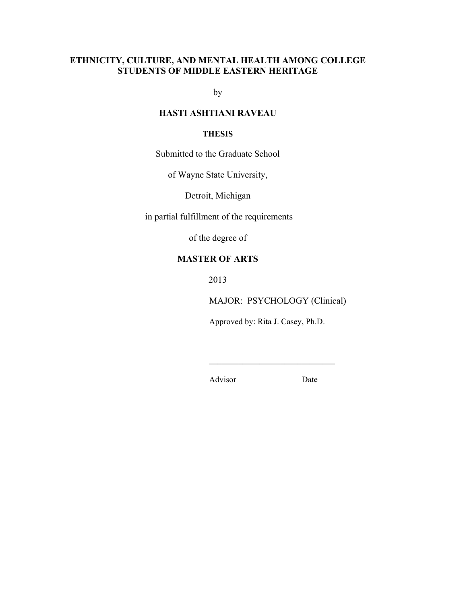## **ETHNICITY, CULTURE, AND MENTAL HEALTH AMONG COLLEGE STUDENTS OF MIDDLE EASTERN HERITAGE**

by

## **HASTI ASHTIANI RAVEAU**

#### **THESIS**

Submitted to the Graduate School

of Wayne State University,

Detroit, Michigan

in partial fulfillment of the requirements

of the degree of

## **MASTER OF ARTS**

2013

MAJOR: PSYCHOLOGY (Clinical)

Approved by: Rita J. Casey, Ph.D.

 $\overline{\phantom{a}}$  , which is a set of the set of the set of the set of the set of the set of the set of the set of the set of the set of the set of the set of the set of the set of the set of the set of the set of the set of th

Advisor Date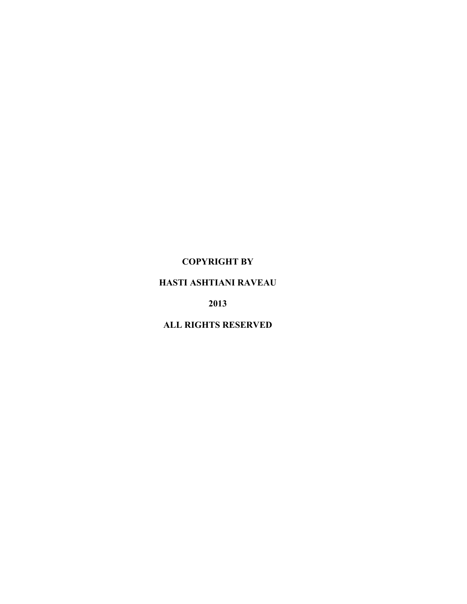## **COPYRIGHT BY**

# **HASTI ASHTIANI RAVEAU**

**2013**

# **ALL RIGHTS RESERVED**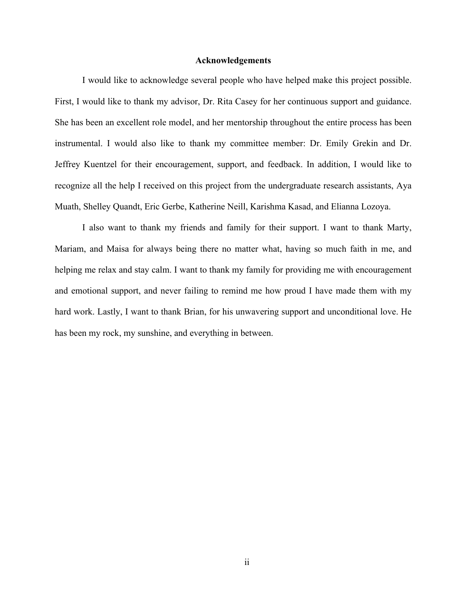#### **Acknowledgements**

I would like to acknowledge several people who have helped make this project possible. First, I would like to thank my advisor, Dr. Rita Casey for her continuous support and guidance. She has been an excellent role model, and her mentorship throughout the entire process has been instrumental. I would also like to thank my committee member: Dr. Emily Grekin and Dr. Jeffrey Kuentzel for their encouragement, support, and feedback. In addition, I would like to recognize all the help I received on this project from the undergraduate research assistants, Aya Muath, Shelley Quandt, Eric Gerbe, Katherine Neill, Karishma Kasad, and Elianna Lozoya.

I also want to thank my friends and family for their support. I want to thank Marty, Mariam, and Maisa for always being there no matter what, having so much faith in me, and helping me relax and stay calm. I want to thank my family for providing me with encouragement and emotional support, and never failing to remind me how proud I have made them with my hard work. Lastly, I want to thank Brian, for his unwavering support and unconditional love. He has been my rock, my sunshine, and everything in between.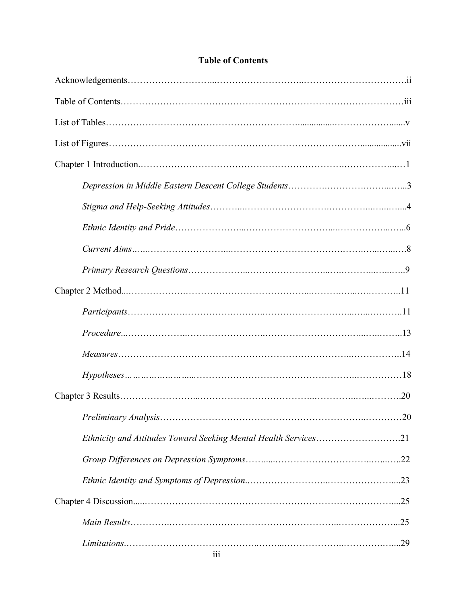|                                                                 | .20 |
|-----------------------------------------------------------------|-----|
| Ethnicity and Attitudes Toward Seeking Mental Health Services21 |     |
|                                                                 |     |
|                                                                 |     |
|                                                                 |     |
|                                                                 |     |
|                                                                 |     |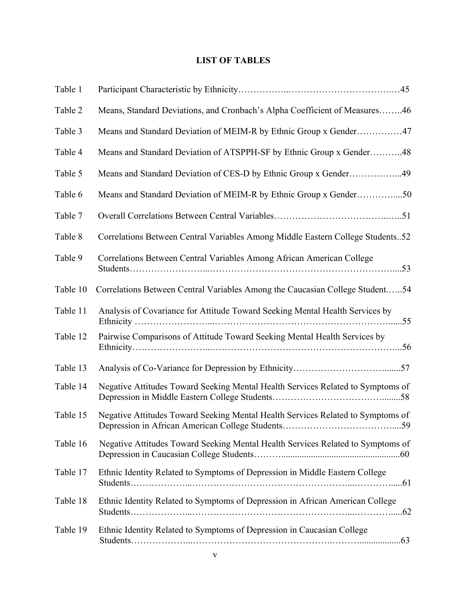## **LIST OF TABLES**

| Table 1  |                                                                                 |
|----------|---------------------------------------------------------------------------------|
| Table 2  | Means, Standard Deviations, and Cronbach's Alpha Coefficient of Measures46      |
| Table 3  | Means and Standard Deviation of MEIM-R by Ethnic Group x Gender47               |
| Table 4  | Means and Standard Deviation of ATSPPH-SF by Ethnic Group x Gender48            |
| Table 5  | Means and Standard Deviation of CES-D by Ethnic Group x Gender49                |
| Table 6  | Means and Standard Deviation of MEIM-R by Ethnic Group x Gender50               |
| Table 7  |                                                                                 |
| Table 8  | Correlations Between Central Variables Among Middle Eastern College Students52  |
| Table 9  | Correlations Between Central Variables Among African American College           |
| Table 10 | Correlations Between Central Variables Among the Caucasian College Student54    |
| Table 11 | Analysis of Covariance for Attitude Toward Seeking Mental Health Services by    |
| Table 12 | Pairwise Comparisons of Attitude Toward Seeking Mental Health Services by       |
| Table 13 |                                                                                 |
| Table 14 | Negative Attitudes Toward Seeking Mental Health Services Related to Symptoms of |
| Table 15 | Negative Attitudes Toward Seeking Mental Health Services Related to Symptoms of |
| Table 16 | Negative Attitudes Toward Seeking Mental Health Services Related to Symptoms of |
| Table 17 | Ethnic Identity Related to Symptoms of Depression in Middle Eastern College     |
| Table 18 | Ethnic Identity Related to Symptoms of Depression in African American College   |
| Table 19 | Ethnic Identity Related to Symptoms of Depression in Caucasian College          |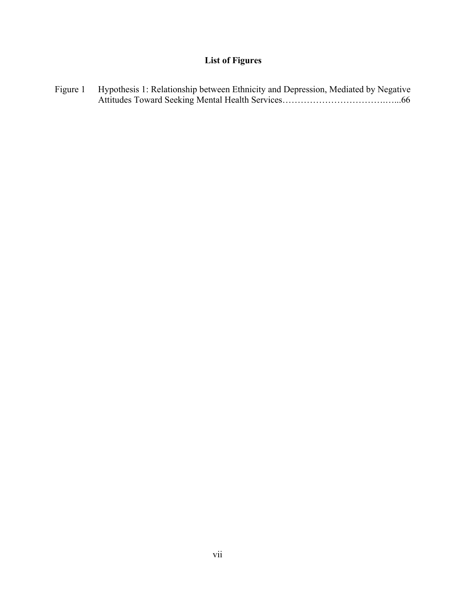# **List of Figures**

Figure 1 Hypothesis 1: Relationship between Ethnicity and Depression, Mediated by Negative Attitudes Toward Seeking Mental Health Services…………………………….…...66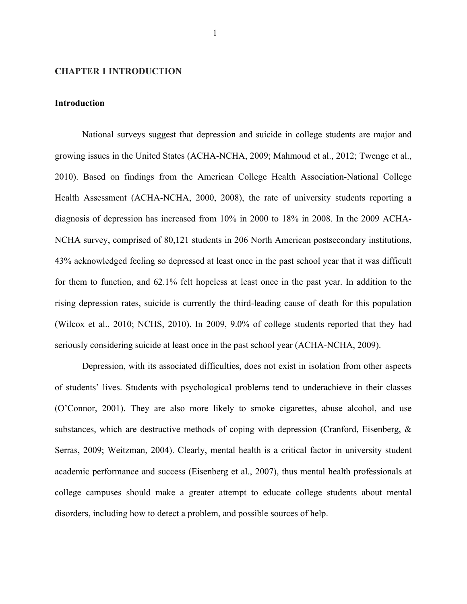#### **CHAPTER 1 INTRODUCTION**

#### **Introduction**

National surveys suggest that depression and suicide in college students are major and growing issues in the United States (ACHA-NCHA, 2009; Mahmoud et al., 2012; Twenge et al., 2010). Based on findings from the American College Health Association-National College Health Assessment (ACHA-NCHA, 2000, 2008), the rate of university students reporting a diagnosis of depression has increased from 10% in 2000 to 18% in 2008. In the 2009 ACHA-NCHA survey, comprised of 80,121 students in 206 North American postsecondary institutions, 43% acknowledged feeling so depressed at least once in the past school year that it was difficult for them to function, and 62.1% felt hopeless at least once in the past year. In addition to the rising depression rates, suicide is currently the third-leading cause of death for this population (Wilcox et al., 2010; NCHS, 2010). In 2009, 9.0% of college students reported that they had seriously considering suicide at least once in the past school year (ACHA-NCHA, 2009).

Depression, with its associated difficulties, does not exist in isolation from other aspects of students' lives. Students with psychological problems tend to underachieve in their classes (O'Connor, 2001). They are also more likely to smoke cigarettes, abuse alcohol, and use substances, which are destructive methods of coping with depression (Cranford, Eisenberg, & Serras, 2009; Weitzman, 2004). Clearly, mental health is a critical factor in university student academic performance and success (Eisenberg et al., 2007), thus mental health professionals at college campuses should make a greater attempt to educate college students about mental disorders, including how to detect a problem, and possible sources of help.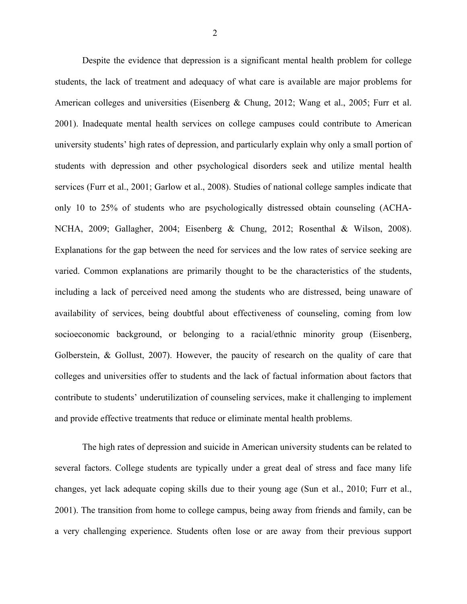Despite the evidence that depression is a significant mental health problem for college students, the lack of treatment and adequacy of what care is available are major problems for American colleges and universities (Eisenberg & Chung, 2012; Wang et al., 2005; Furr et al. 2001). Inadequate mental health services on college campuses could contribute to American university students' high rates of depression, and particularly explain why only a small portion of students with depression and other psychological disorders seek and utilize mental health services (Furr et al., 2001; Garlow et al., 2008). Studies of national college samples indicate that only 10 to 25% of students who are psychologically distressed obtain counseling (ACHA-NCHA, 2009; Gallagher, 2004; Eisenberg & Chung, 2012; Rosenthal & Wilson, 2008). Explanations for the gap between the need for services and the low rates of service seeking are varied. Common explanations are primarily thought to be the characteristics of the students, including a lack of perceived need among the students who are distressed, being unaware of availability of services, being doubtful about effectiveness of counseling, coming from low socioeconomic background, or belonging to a racial/ethnic minority group (Eisenberg, Golberstein, & Gollust, 2007). However, the paucity of research on the quality of care that colleges and universities offer to students and the lack of factual information about factors that contribute to students' underutilization of counseling services, make it challenging to implement and provide effective treatments that reduce or eliminate mental health problems.

The high rates of depression and suicide in American university students can be related to several factors. College students are typically under a great deal of stress and face many life changes, yet lack adequate coping skills due to their young age (Sun et al., 2010; Furr et al., 2001). The transition from home to college campus, being away from friends and family, can be a very challenging experience. Students often lose or are away from their previous support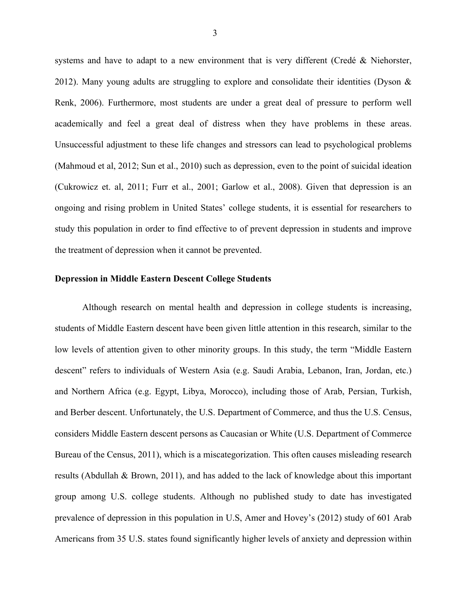systems and have to adapt to a new environment that is very different (Credé & Niehorster, 2012). Many young adults are struggling to explore and consolidate their identities (Dyson  $\&$ Renk, 2006). Furthermore, most students are under a great deal of pressure to perform well academically and feel a great deal of distress when they have problems in these areas. Unsuccessful adjustment to these life changes and stressors can lead to psychological problems (Mahmoud et al, 2012; Sun et al., 2010) such as depression, even to the point of suicidal ideation (Cukrowicz et. al, 2011; Furr et al., 2001; Garlow et al., 2008). Given that depression is an ongoing and rising problem in United States' college students, it is essential for researchers to study this population in order to find effective to of prevent depression in students and improve the treatment of depression when it cannot be prevented.

#### **Depression in Middle Eastern Descent College Students**

Although research on mental health and depression in college students is increasing, students of Middle Eastern descent have been given little attention in this research, similar to the low levels of attention given to other minority groups. In this study, the term "Middle Eastern descent" refers to individuals of Western Asia (e.g. Saudi Arabia, Lebanon, Iran, Jordan, etc.) and Northern Africa (e.g. Egypt, Libya, Morocco), including those of Arab, Persian, Turkish, and Berber descent. Unfortunately, the U.S. Department of Commerce, and thus the U.S. Census, considers Middle Eastern descent persons as Caucasian or White (U.S. Department of Commerce Bureau of the Census, 2011), which is a miscategorization. This often causes misleading research results (Abdullah & Brown, 2011), and has added to the lack of knowledge about this important group among U.S. college students. Although no published study to date has investigated prevalence of depression in this population in U.S, Amer and Hovey's (2012) study of 601 Arab Americans from 35 U.S. states found significantly higher levels of anxiety and depression within

3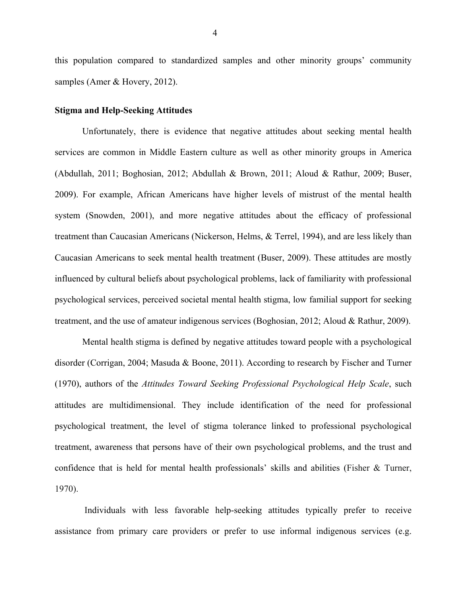this population compared to standardized samples and other minority groups' community samples (Amer & Hovery, 2012).

#### **Stigma and Help-Seeking Attitudes**

Unfortunately, there is evidence that negative attitudes about seeking mental health services are common in Middle Eastern culture as well as other minority groups in America (Abdullah, 2011; Boghosian, 2012; Abdullah & Brown, 2011; Aloud & Rathur, 2009; Buser, 2009). For example, African Americans have higher levels of mistrust of the mental health system (Snowden, 2001), and more negative attitudes about the efficacy of professional treatment than Caucasian Americans (Nickerson, Helms, & Terrel, 1994), and are less likely than Caucasian Americans to seek mental health treatment (Buser, 2009). These attitudes are mostly influenced by cultural beliefs about psychological problems, lack of familiarity with professional psychological services, perceived societal mental health stigma, low familial support for seeking treatment, and the use of amateur indigenous services (Boghosian, 2012; Aloud & Rathur, 2009).

Mental health stigma is defined by negative attitudes toward people with a psychological disorder (Corrigan, 2004; Masuda & Boone, 2011). According to research by Fischer and Turner (1970), authors of the *Attitudes Toward Seeking Professional Psychological Help Scale*, such attitudes are multidimensional. They include identification of the need for professional psychological treatment, the level of stigma tolerance linked to professional psychological treatment, awareness that persons have of their own psychological problems, and the trust and confidence that is held for mental health professionals' skills and abilities (Fisher & Turner, 1970).

Individuals with less favorable help-seeking attitudes typically prefer to receive assistance from primary care providers or prefer to use informal indigenous services (e.g.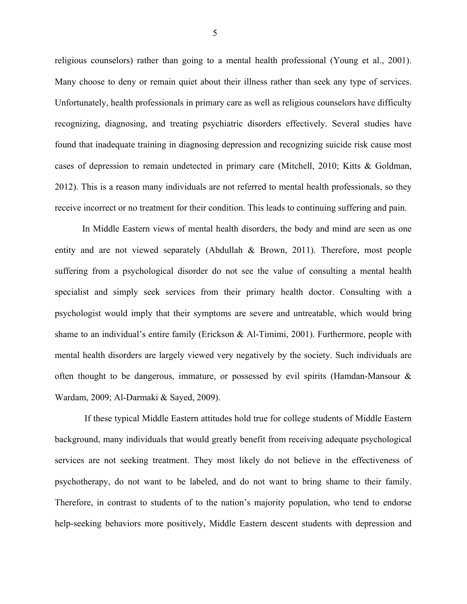religious counselors) rather than going to a mental health professional (Young et al., 2001). Many choose to deny or remain quiet about their illness rather than seek any type of services. Unfortunately, health professionals in primary care as well as religious counselors have difficulty recognizing, diagnosing, and treating psychiatric disorders effectively. Several studies have found that inadequate training in diagnosing depression and recognizing suicide risk cause most cases of depression to remain undetected in primary care (Mitchell, 2010; Kitts & Goldman, 2012). This is a reason many individuals are not referred to mental health professionals, so they receive incorrect or no treatment for their condition. This leads to continuing suffering and pain.

In Middle Eastern views of mental health disorders, the body and mind are seen as one entity and are not viewed separately (Abdullah & Brown, 2011). Therefore, most people suffering from a psychological disorder do not see the value of consulting a mental health specialist and simply seek services from their primary health doctor. Consulting with a psychologist would imply that their symptoms are severe and untreatable, which would bring shame to an individual's entire family (Erickson & Al-Timimi, 2001). Furthermore, people with mental health disorders are largely viewed very negatively by the society. Such individuals are often thought to be dangerous, immature, or possessed by evil spirits (Hamdan-Mansour  $\&$ Wardam, 2009; Al-Darmaki & Sayed, 2009).

If these typical Middle Eastern attitudes hold true for college students of Middle Eastern background, many individuals that would greatly benefit from receiving adequate psychological services are not seeking treatment. They most likely do not believe in the effectiveness of psychotherapy, do not want to be labeled, and do not want to bring shame to their family. Therefore, in contrast to students of to the nation's majority population, who tend to endorse help-seeking behaviors more positively, Middle Eastern descent students with depression and

5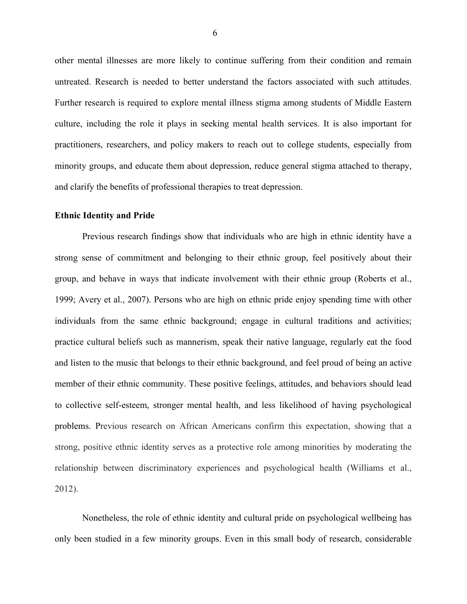other mental illnesses are more likely to continue suffering from their condition and remain untreated. Research is needed to better understand the factors associated with such attitudes. Further research is required to explore mental illness stigma among students of Middle Eastern culture, including the role it plays in seeking mental health services. It is also important for practitioners, researchers, and policy makers to reach out to college students, especially from minority groups, and educate them about depression, reduce general stigma attached to therapy, and clarify the benefits of professional therapies to treat depression.

#### **Ethnic Identity and Pride**

Previous research findings show that individuals who are high in ethnic identity have a strong sense of commitment and belonging to their ethnic group, feel positively about their group, and behave in ways that indicate involvement with their ethnic group (Roberts et al., 1999; Avery et al., 2007). Persons who are high on ethnic pride enjoy spending time with other individuals from the same ethnic background; engage in cultural traditions and activities; practice cultural beliefs such as mannerism, speak their native language, regularly eat the food and listen to the music that belongs to their ethnic background, and feel proud of being an active member of their ethnic community. These positive feelings, attitudes, and behaviors should lead to collective self-esteem, stronger mental health, and less likelihood of having psychological problems. Previous research on African Americans confirm this expectation, showing that a strong, positive ethnic identity serves as a protective role among minorities by moderating the relationship between discriminatory experiences and psychological health (Williams et al., 2012).

Nonetheless, the role of ethnic identity and cultural pride on psychological wellbeing has only been studied in a few minority groups. Even in this small body of research, considerable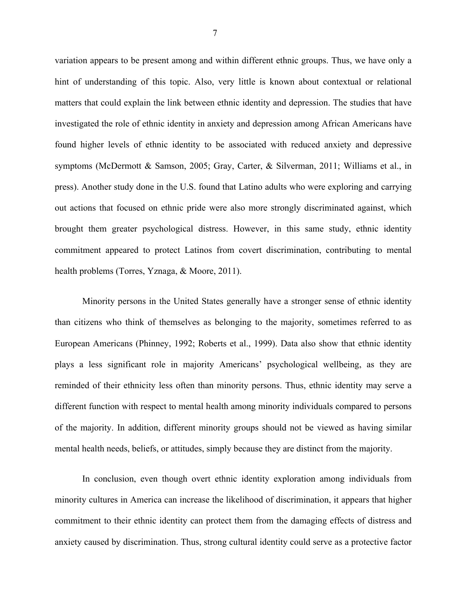variation appears to be present among and within different ethnic groups. Thus, we have only a hint of understanding of this topic. Also, very little is known about contextual or relational matters that could explain the link between ethnic identity and depression. The studies that have investigated the role of ethnic identity in anxiety and depression among African Americans have found higher levels of ethnic identity to be associated with reduced anxiety and depressive symptoms (McDermott & Samson, 2005; Gray, Carter, & Silverman, 2011; Williams et al., in press). Another study done in the U.S. found that Latino adults who were exploring and carrying out actions that focused on ethnic pride were also more strongly discriminated against, which brought them greater psychological distress. However, in this same study, ethnic identity commitment appeared to protect Latinos from covert discrimination, contributing to mental health problems (Torres, Yznaga, & Moore, 2011).

Minority persons in the United States generally have a stronger sense of ethnic identity than citizens who think of themselves as belonging to the majority, sometimes referred to as European Americans (Phinney, 1992; Roberts et al., 1999). Data also show that ethnic identity plays a less significant role in majority Americans' psychological wellbeing, as they are reminded of their ethnicity less often than minority persons. Thus, ethnic identity may serve a different function with respect to mental health among minority individuals compared to persons of the majority. In addition, different minority groups should not be viewed as having similar mental health needs, beliefs, or attitudes, simply because they are distinct from the majority.

In conclusion, even though overt ethnic identity exploration among individuals from minority cultures in America can increase the likelihood of discrimination, it appears that higher commitment to their ethnic identity can protect them from the damaging effects of distress and anxiety caused by discrimination. Thus, strong cultural identity could serve as a protective factor

7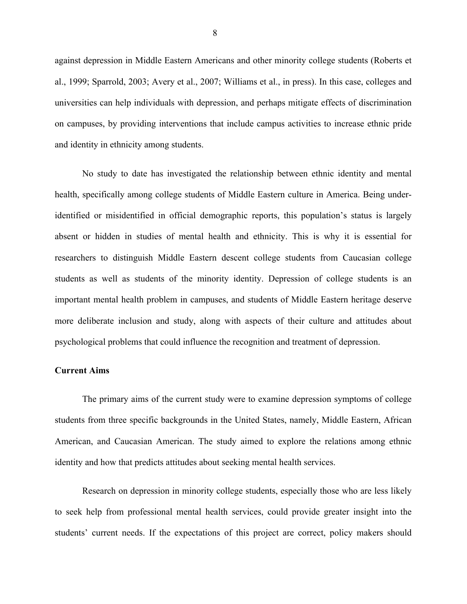against depression in Middle Eastern Americans and other minority college students (Roberts et al., 1999; Sparrold, 2003; Avery et al., 2007; Williams et al., in press). In this case, colleges and universities can help individuals with depression, and perhaps mitigate effects of discrimination on campuses, by providing interventions that include campus activities to increase ethnic pride and identity in ethnicity among students.

No study to date has investigated the relationship between ethnic identity and mental health, specifically among college students of Middle Eastern culture in America. Being underidentified or misidentified in official demographic reports, this population's status is largely absent or hidden in studies of mental health and ethnicity. This is why it is essential for researchers to distinguish Middle Eastern descent college students from Caucasian college students as well as students of the minority identity. Depression of college students is an important mental health problem in campuses, and students of Middle Eastern heritage deserve more deliberate inclusion and study, along with aspects of their culture and attitudes about psychological problems that could influence the recognition and treatment of depression.

#### **Current Aims**

The primary aims of the current study were to examine depression symptoms of college students from three specific backgrounds in the United States, namely, Middle Eastern, African American, and Caucasian American. The study aimed to explore the relations among ethnic identity and how that predicts attitudes about seeking mental health services.

Research on depression in minority college students, especially those who are less likely to seek help from professional mental health services, could provide greater insight into the students' current needs. If the expectations of this project are correct, policy makers should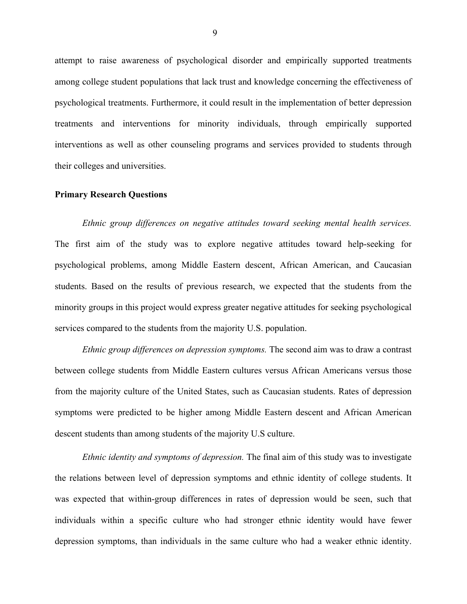attempt to raise awareness of psychological disorder and empirically supported treatments among college student populations that lack trust and knowledge concerning the effectiveness of psychological treatments. Furthermore, it could result in the implementation of better depression treatments and interventions for minority individuals, through empirically supported interventions as well as other counseling programs and services provided to students through their colleges and universities.

#### **Primary Research Questions**

*Ethnic group differences on negative attitudes toward seeking mental health services.*  The first aim of the study was to explore negative attitudes toward help-seeking for psychological problems, among Middle Eastern descent, African American, and Caucasian students. Based on the results of previous research, we expected that the students from the minority groups in this project would express greater negative attitudes for seeking psychological services compared to the students from the majority U.S. population.

*Ethnic group differences on depression symptoms.* The second aim was to draw a contrast between college students from Middle Eastern cultures versus African Americans versus those from the majority culture of the United States, such as Caucasian students. Rates of depression symptoms were predicted to be higher among Middle Eastern descent and African American descent students than among students of the majority U.S culture.

*Ethnic identity and symptoms of depression.* The final aim of this study was to investigate the relations between level of depression symptoms and ethnic identity of college students. It was expected that within-group differences in rates of depression would be seen, such that individuals within a specific culture who had stronger ethnic identity would have fewer depression symptoms, than individuals in the same culture who had a weaker ethnic identity.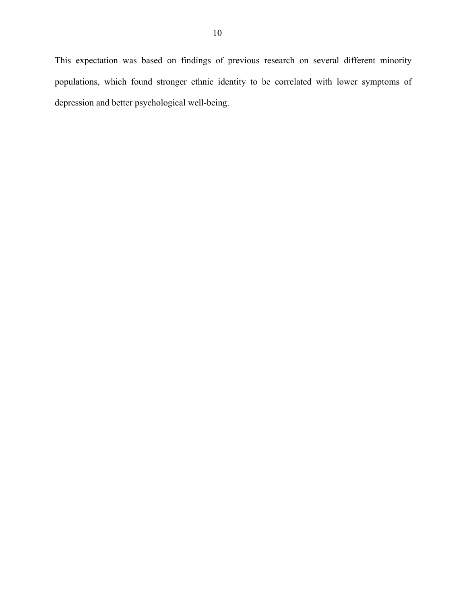This expectation was based on findings of previous research on several different minority populations, which found stronger ethnic identity to be correlated with lower symptoms of depression and better psychological well-being.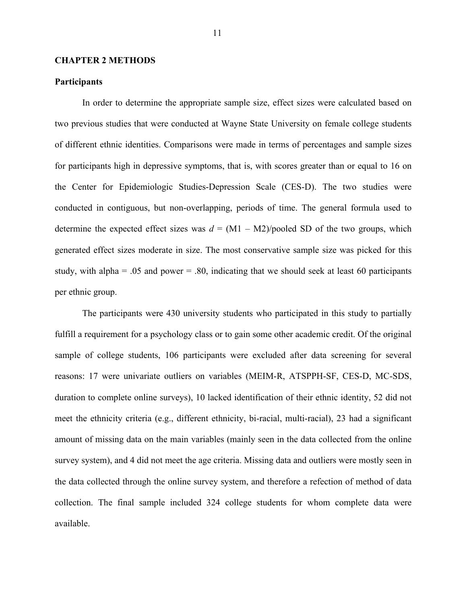#### **CHAPTER 2 METHODS**

#### **Participants**

In order to determine the appropriate sample size, effect sizes were calculated based on two previous studies that were conducted at Wayne State University on female college students of different ethnic identities. Comparisons were made in terms of percentages and sample sizes for participants high in depressive symptoms, that is, with scores greater than or equal to 16 on the Center for Epidemiologic Studies-Depression Scale (CES-D). The two studies were conducted in contiguous, but non-overlapping, periods of time. The general formula used to determine the expected effect sizes was  $d = (M1 - M2)/p$  ooled SD of the two groups, which generated effect sizes moderate in size. The most conservative sample size was picked for this study, with alpha = .05 and power = .80, indicating that we should seek at least 60 participants per ethnic group.

The participants were 430 university students who participated in this study to partially fulfill a requirement for a psychology class or to gain some other academic credit. Of the original sample of college students, 106 participants were excluded after data screening for several reasons: 17 were univariate outliers on variables (MEIM-R, ATSPPH-SF, CES-D, MC-SDS, duration to complete online surveys), 10 lacked identification of their ethnic identity, 52 did not meet the ethnicity criteria (e.g., different ethnicity, bi-racial, multi-racial), 23 had a significant amount of missing data on the main variables (mainly seen in the data collected from the online survey system), and 4 did not meet the age criteria. Missing data and outliers were mostly seen in the data collected through the online survey system, and therefore a refection of method of data collection. The final sample included 324 college students for whom complete data were available.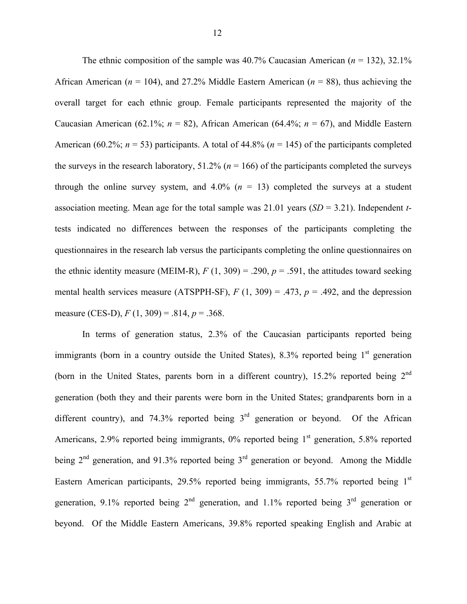The ethnic composition of the sample was  $40.7\%$  Caucasian American ( $n = 132$ ),  $32.1\%$ African American (*n* = 104), and 27.2% Middle Eastern American (*n* = 88), thus achieving the overall target for each ethnic group. Female participants represented the majority of the Caucasian American (62.1%;  $n = 82$ ), African American (64.4%;  $n = 67$ ), and Middle Eastern American (60.2%;  $n = 53$ ) participants. A total of 44.8% ( $n = 145$ ) of the participants completed the surveys in the research laboratory,  $51.2\%$  ( $n = 166$ ) of the participants completed the surveys through the online survey system, and  $4.0\%$  ( $n = 13$ ) completed the surveys at a student association meeting. Mean age for the total sample was 21.01 years (*SD* = 3.21). Independent *t*tests indicated no differences between the responses of the participants completing the questionnaires in the research lab versus the participants completing the online questionnaires on the ethnic identity measure (MEIM-R),  $F(1, 309) = .290$ ,  $p = .591$ , the attitudes toward seeking mental health services measure (ATSPPH-SF),  $F(1, 309) = .473$ ,  $p = .492$ , and the depression measure (CES-D), *F* (1, 309) = .814, *p* = .368.

In terms of generation status, 2.3% of the Caucasian participants reported being immigrants (born in a country outside the United States),  $8.3\%$  reported being  $1<sup>st</sup>$  generation (born in the United States, parents born in a different country), 15.2% reported being 2<sup>nd</sup> generation (both they and their parents were born in the United States; grandparents born in a different country), and 74.3% reported being  $3<sup>rd</sup>$  generation or beyond. Of the African Americans,  $2.9\%$  reported being immigrants,  $0\%$  reported being  $1<sup>st</sup>$  generation, 5.8% reported being  $2<sup>nd</sup>$  generation, and 91.3% reported being  $3<sup>rd</sup>$  generation or beyond. Among the Middle Eastern American participants, 29.5% reported being immigrants, 55.7% reported being 1<sup>st</sup> generation, 9.1% reported being  $2<sup>nd</sup>$  generation, and 1.1% reported being  $3<sup>rd</sup>$  generation or beyond. Of the Middle Eastern Americans, 39.8% reported speaking English and Arabic at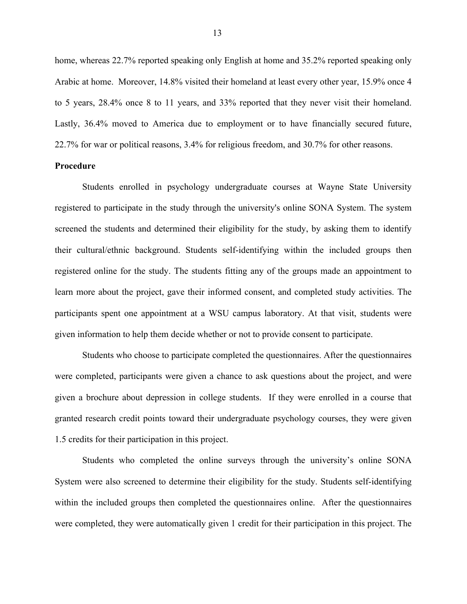home, whereas 22.7% reported speaking only English at home and 35.2% reported speaking only Arabic at home. Moreover, 14.8% visited their homeland at least every other year, 15.9% once 4 to 5 years, 28.4% once 8 to 11 years, and 33% reported that they never visit their homeland. Lastly, 36.4% moved to America due to employment or to have financially secured future, 22.7% for war or political reasons, 3.4% for religious freedom, and 30.7% for other reasons.

#### **Procedure**

Students enrolled in psychology undergraduate courses at Wayne State University registered to participate in the study through the university's online SONA System. The system screened the students and determined their eligibility for the study, by asking them to identify their cultural/ethnic background. Students self-identifying within the included groups then registered online for the study. The students fitting any of the groups made an appointment to learn more about the project, gave their informed consent, and completed study activities. The participants spent one appointment at a WSU campus laboratory. At that visit, students were given information to help them decide whether or not to provide consent to participate.

Students who choose to participate completed the questionnaires. After the questionnaires were completed, participants were given a chance to ask questions about the project, and were given a brochure about depression in college students. If they were enrolled in a course that granted research credit points toward their undergraduate psychology courses, they were given 1.5 credits for their participation in this project.

Students who completed the online surveys through the university's online SONA System were also screened to determine their eligibility for the study. Students self-identifying within the included groups then completed the questionnaires online. After the questionnaires were completed, they were automatically given 1 credit for their participation in this project. The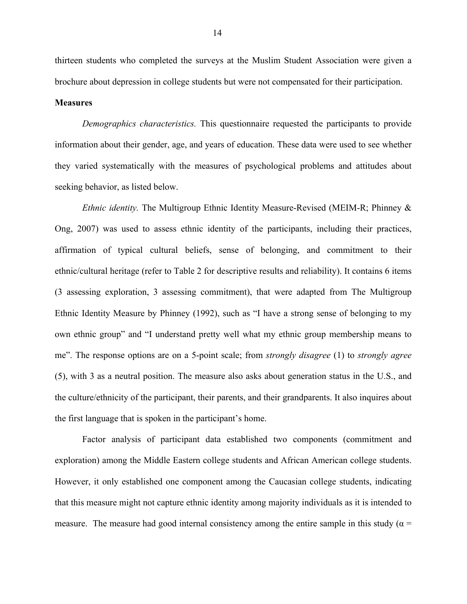thirteen students who completed the surveys at the Muslim Student Association were given a brochure about depression in college students but were not compensated for their participation.

#### **Measures**

*Demographics characteristics.* This questionnaire requested the participants to provide information about their gender, age, and years of education. These data were used to see whether they varied systematically with the measures of psychological problems and attitudes about seeking behavior, as listed below.

*Ethnic identity.* The Multigroup Ethnic Identity Measure-Revised (MEIM-R; Phinney & Ong, 2007) was used to assess ethnic identity of the participants, including their practices, affirmation of typical cultural beliefs, sense of belonging, and commitment to their ethnic/cultural heritage (refer to Table 2 for descriptive results and reliability). It contains 6 items (3 assessing exploration, 3 assessing commitment), that were adapted from The Multigroup Ethnic Identity Measure by Phinney (1992), such as "I have a strong sense of belonging to my own ethnic group" and "I understand pretty well what my ethnic group membership means to me". The response options are on a 5-point scale; from *strongly disagree* (1) to *strongly agree*  (5), with 3 as a neutral position. The measure also asks about generation status in the U.S., and the culture/ethnicity of the participant, their parents, and their grandparents. It also inquires about the first language that is spoken in the participant's home.

Factor analysis of participant data established two components (commitment and exploration) among the Middle Eastern college students and African American college students. However, it only established one component among the Caucasian college students, indicating that this measure might not capture ethnic identity among majority individuals as it is intended to measure. The measure had good internal consistency among the entire sample in this study ( $\alpha$  =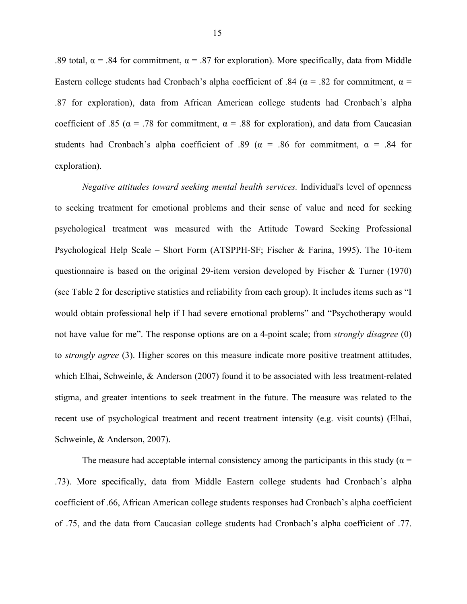.89 total,  $\alpha$  = .84 for commitment,  $\alpha$  = .87 for exploration). More specifically, data from Middle Eastern college students had Cronbach's alpha coefficient of .84 ( $\alpha$  = .82 for commitment,  $\alpha$  = .87 for exploration), data from African American college students had Cronbach's alpha coefficient of .85 ( $\alpha$  = .78 for commitment,  $\alpha$  = .88 for exploration), and data from Caucasian students had Cronbach's alpha coefficient of .89 ( $\alpha$  = .86 for commitment,  $\alpha$  = .84 for exploration).

*Negative attitudes toward seeking mental health services.* Individual's level of openness to seeking treatment for emotional problems and their sense of value and need for seeking psychological treatment was measured with the Attitude Toward Seeking Professional Psychological Help Scale – Short Form (ATSPPH-SF; Fischer & Farina, 1995). The 10-item questionnaire is based on the original 29-item version developed by Fischer & Turner (1970) (see Table 2 for descriptive statistics and reliability from each group). It includes items such as "I would obtain professional help if I had severe emotional problems" and "Psychotherapy would not have value for me". The response options are on a 4-point scale; from *strongly disagree* (0) to *strongly agree* (3). Higher scores on this measure indicate more positive treatment attitudes, which Elhai, Schweinle, & Anderson (2007) found it to be associated with less treatment-related stigma, and greater intentions to seek treatment in the future. The measure was related to the recent use of psychological treatment and recent treatment intensity (e.g. visit counts) (Elhai, Schweinle, & Anderson, 2007).

The measure had acceptable internal consistency among the participants in this study ( $\alpha$  = .73). More specifically, data from Middle Eastern college students had Cronbach's alpha coefficient of .66, African American college students responses had Cronbach's alpha coefficient of .75, and the data from Caucasian college students had Cronbach's alpha coefficient of .77.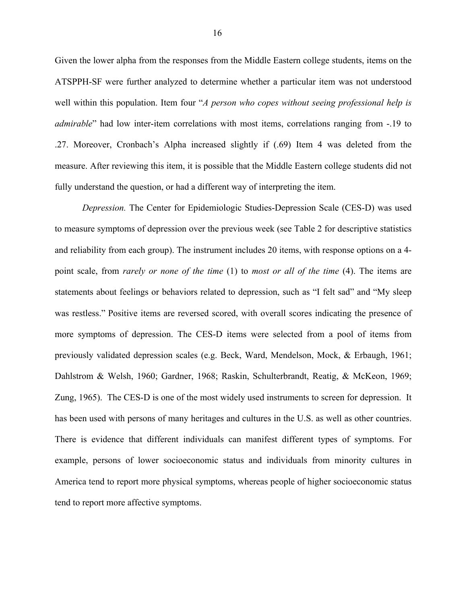Given the lower alpha from the responses from the Middle Eastern college students, items on the ATSPPH-SF were further analyzed to determine whether a particular item was not understood well within this population. Item four "*A person who copes without seeing professional help is admirable*" had low inter-item correlations with most items, correlations ranging from -.19 to .27. Moreover, Cronbach's Alpha increased slightly if (.69) Item 4 was deleted from the measure. After reviewing this item, it is possible that the Middle Eastern college students did not fully understand the question, or had a different way of interpreting the item.

*Depression.* The Center for Epidemiologic Studies-Depression Scale (CES-D) was used to measure symptoms of depression over the previous week (see Table 2 for descriptive statistics and reliability from each group). The instrument includes 20 items, with response options on a 4 point scale, from *rarely or none of the time* (1) to *most or all of the time* (4). The items are statements about feelings or behaviors related to depression, such as "I felt sad" and "My sleep was restless." Positive items are reversed scored, with overall scores indicating the presence of more symptoms of depression. The CES-D items were selected from a pool of items from previously validated depression scales (e.g. Beck, Ward, Mendelson, Mock, & Erbaugh, 1961; Dahlstrom & Welsh, 1960; Gardner, 1968; Raskin, Schulterbrandt, Reatig, & McKeon, 1969; Zung, 1965). The CES-D is one of the most widely used instruments to screen for depression. It has been used with persons of many heritages and cultures in the U.S. as well as other countries. There is evidence that different individuals can manifest different types of symptoms. For example, persons of lower socioeconomic status and individuals from minority cultures in America tend to report more physical symptoms, whereas people of higher socioeconomic status tend to report more affective symptoms.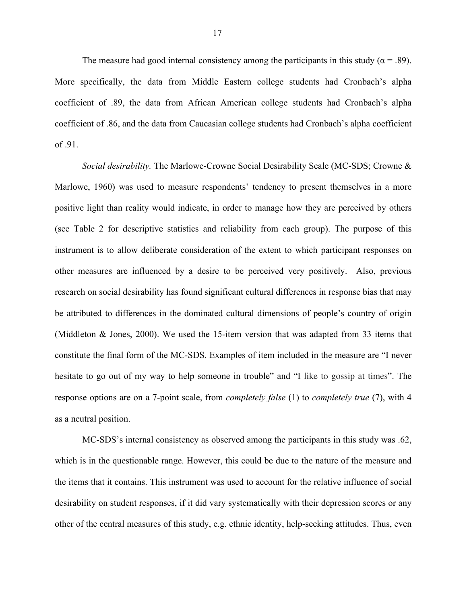The measure had good internal consistency among the participants in this study ( $\alpha$  = .89). More specifically, the data from Middle Eastern college students had Cronbach's alpha coefficient of .89, the data from African American college students had Cronbach's alpha coefficient of .86, and the data from Caucasian college students had Cronbach's alpha coefficient of .91.

*Social desirability.* The Marlowe-Crowne Social Desirability Scale (MC-SDS; Crowne & Marlowe, 1960) was used to measure respondents' tendency to present themselves in a more positive light than reality would indicate, in order to manage how they are perceived by others (see Table 2 for descriptive statistics and reliability from each group). The purpose of this instrument is to allow deliberate consideration of the extent to which participant responses on other measures are influenced by a desire to be perceived very positively. Also, previous research on social desirability has found significant cultural differences in response bias that may be attributed to differences in the dominated cultural dimensions of people's country of origin (Middleton & Jones, 2000). We used the 15-item version that was adapted from 33 items that constitute the final form of the MC-SDS. Examples of item included in the measure are "I never hesitate to go out of my way to help someone in trouble" and "I like to gossip at times". The response options are on a 7-point scale, from *completely false* (1) to *completely true* (7), with 4 as a neutral position.

MC-SDS's internal consistency as observed among the participants in this study was .62, which is in the questionable range. However, this could be due to the nature of the measure and the items that it contains. This instrument was used to account for the relative influence of social desirability on student responses, if it did vary systematically with their depression scores or any other of the central measures of this study, e.g. ethnic identity, help-seeking attitudes. Thus, even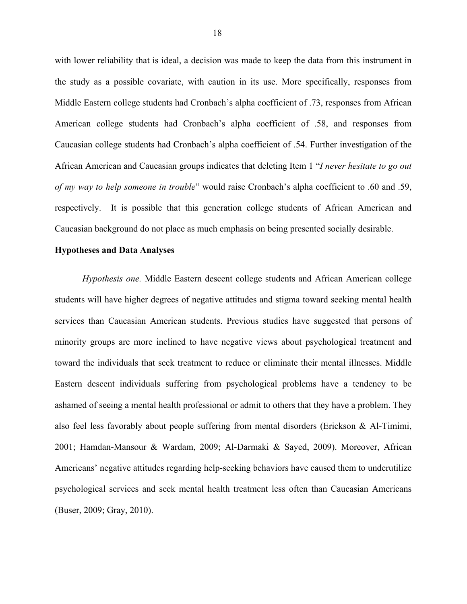with lower reliability that is ideal, a decision was made to keep the data from this instrument in the study as a possible covariate, with caution in its use. More specifically, responses from Middle Eastern college students had Cronbach's alpha coefficient of .73, responses from African American college students had Cronbach's alpha coefficient of .58, and responses from Caucasian college students had Cronbach's alpha coefficient of .54. Further investigation of the African American and Caucasian groups indicates that deleting Item 1 "*I never hesitate to go out of my way to help someone in trouble*" would raise Cronbach's alpha coefficient to .60 and .59, respectively. It is possible that this generation college students of African American and Caucasian background do not place as much emphasis on being presented socially desirable.

#### **Hypotheses and Data Analyses**

*Hypothesis one.* Middle Eastern descent college students and African American college students will have higher degrees of negative attitudes and stigma toward seeking mental health services than Caucasian American students. Previous studies have suggested that persons of minority groups are more inclined to have negative views about psychological treatment and toward the individuals that seek treatment to reduce or eliminate their mental illnesses. Middle Eastern descent individuals suffering from psychological problems have a tendency to be ashamed of seeing a mental health professional or admit to others that they have a problem. They also feel less favorably about people suffering from mental disorders (Erickson & Al-Timimi, 2001; Hamdan-Mansour & Wardam, 2009; Al-Darmaki & Sayed, 2009). Moreover, African Americans' negative attitudes regarding help-seeking behaviors have caused them to underutilize psychological services and seek mental health treatment less often than Caucasian Americans (Buser, 2009; Gray, 2010).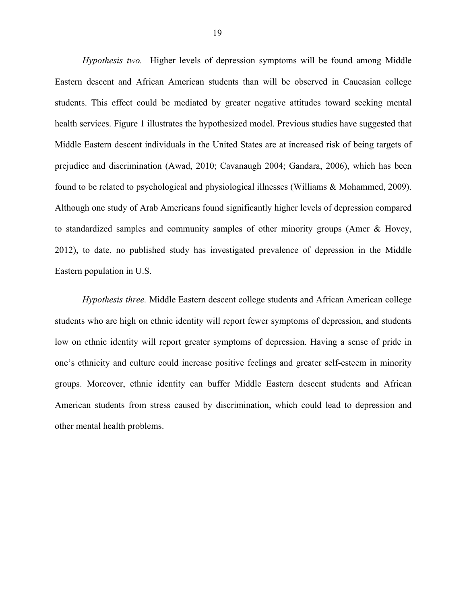*Hypothesis two.* Higher levels of depression symptoms will be found among Middle Eastern descent and African American students than will be observed in Caucasian college students. This effect could be mediated by greater negative attitudes toward seeking mental health services. Figure 1 illustrates the hypothesized model. Previous studies have suggested that Middle Eastern descent individuals in the United States are at increased risk of being targets of prejudice and discrimination (Awad, 2010; Cavanaugh 2004; Gandara, 2006), which has been found to be related to psychological and physiological illnesses (Williams & Mohammed, 2009). Although one study of Arab Americans found significantly higher levels of depression compared to standardized samples and community samples of other minority groups (Amer & Hovey, 2012), to date, no published study has investigated prevalence of depression in the Middle Eastern population in U.S.

*Hypothesis three.* Middle Eastern descent college students and African American college students who are high on ethnic identity will report fewer symptoms of depression, and students low on ethnic identity will report greater symptoms of depression. Having a sense of pride in one's ethnicity and culture could increase positive feelings and greater self-esteem in minority groups. Moreover, ethnic identity can buffer Middle Eastern descent students and African American students from stress caused by discrimination, which could lead to depression and other mental health problems.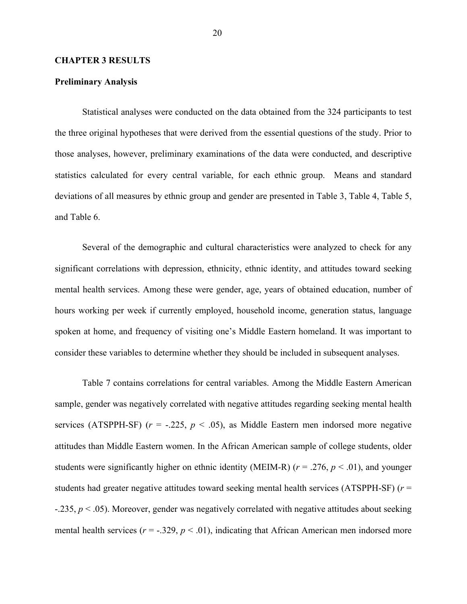#### **CHAPTER 3 RESULTS**

#### **Preliminary Analysis**

Statistical analyses were conducted on the data obtained from the 324 participants to test the three original hypotheses that were derived from the essential questions of the study. Prior to those analyses, however, preliminary examinations of the data were conducted, and descriptive statistics calculated for every central variable, for each ethnic group. Means and standard deviations of all measures by ethnic group and gender are presented in Table 3, Table 4, Table 5, and Table 6.

Several of the demographic and cultural characteristics were analyzed to check for any significant correlations with depression, ethnicity, ethnic identity, and attitudes toward seeking mental health services. Among these were gender, age, years of obtained education, number of hours working per week if currently employed, household income, generation status, language spoken at home, and frequency of visiting one's Middle Eastern homeland. It was important to consider these variables to determine whether they should be included in subsequent analyses.

Table 7 contains correlations for central variables. Among the Middle Eastern American sample, gender was negatively correlated with negative attitudes regarding seeking mental health services (ATSPPH-SF)  $(r = -.225, p < .05)$ , as Middle Eastern men indorsed more negative attitudes than Middle Eastern women. In the African American sample of college students, older students were significantly higher on ethnic identity (MEIM-R) ( $r = .276$ ,  $p < .01$ ), and younger students had greater negative attitudes toward seeking mental health services (ATSPPH-SF) (*r* =  $-235$ ,  $p < .05$ ). Moreover, gender was negatively correlated with negative attitudes about seeking mental health services ( $r = -0.329$ ,  $p < 0.01$ ), indicating that African American men indorsed more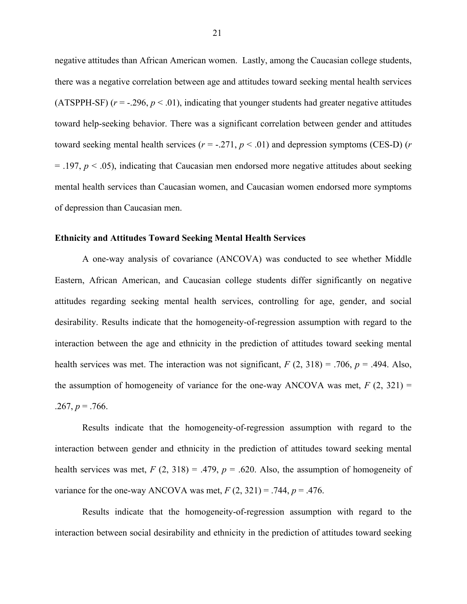negative attitudes than African American women. Lastly, among the Caucasian college students, there was a negative correlation between age and attitudes toward seeking mental health services (ATSPPH-SF)  $(r = -.296, p < .01)$ , indicating that younger students had greater negative attitudes toward help-seeking behavior. There was a significant correlation between gender and attitudes toward seeking mental health services  $(r = -.271, p < .01)$  and depression symptoms (CES-D)  $(r = .271, p < .01)$  $=$  .197,  $p <$  .05), indicating that Caucasian men endorsed more negative attitudes about seeking mental health services than Caucasian women, and Caucasian women endorsed more symptoms of depression than Caucasian men.

#### **Ethnicity and Attitudes Toward Seeking Mental Health Services**

A one-way analysis of covariance (ANCOVA) was conducted to see whether Middle Eastern, African American, and Caucasian college students differ significantly on negative attitudes regarding seeking mental health services, controlling for age, gender, and social desirability. Results indicate that the homogeneity-of-regression assumption with regard to the interaction between the age and ethnicity in the prediction of attitudes toward seeking mental health services was met. The interaction was not significant,  $F(2, 318) = .706$ ,  $p = .494$ . Also, the assumption of homogeneity of variance for the one-way ANCOVA was met,  $F(2, 321) =$  $.267, p = .766.$ 

Results indicate that the homogeneity-of-regression assumption with regard to the interaction between gender and ethnicity in the prediction of attitudes toward seeking mental health services was met,  $F(2, 318) = .479$ ,  $p = .620$ . Also, the assumption of homogeneity of variance for the one-way ANCOVA was met,  $F(2, 321) = .744$ ,  $p = .476$ .

Results indicate that the homogeneity-of-regression assumption with regard to the interaction between social desirability and ethnicity in the prediction of attitudes toward seeking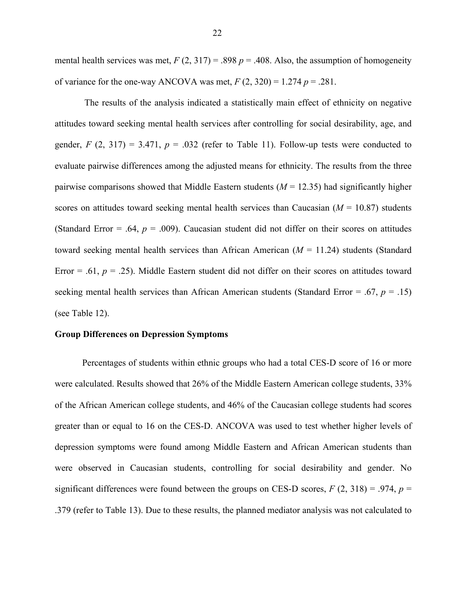mental health services was met,  $F(2, 317) = .898 p = .408$ . Also, the assumption of homogeneity of variance for the one-way ANCOVA was met,  $F(2, 320) = 1.274$   $p = .281$ .

The results of the analysis indicated a statistically main effect of ethnicity on negative attitudes toward seeking mental health services after controlling for social desirability, age, and gender,  $F(2, 317) = 3.471$ ,  $p = .032$  (refer to Table 11). Follow-up tests were conducted to evaluate pairwise differences among the adjusted means for ethnicity. The results from the three pairwise comparisons showed that Middle Eastern students  $(M = 12.35)$  had significantly higher scores on attitudes toward seeking mental health services than Caucasian (*M* = 10.87) students (Standard Error  $= .64$ ,  $p = .009$ ). Caucasian student did not differ on their scores on attitudes toward seeking mental health services than African American (*M* = 11.24) students (Standard Error  $=$  .61,  $p = .25$ ). Middle Eastern student did not differ on their scores on attitudes toward seeking mental health services than African American students (Standard Error = .67, *p* = .15) (see Table 12).

#### **Group Differences on Depression Symptoms**

Percentages of students within ethnic groups who had a total CES-D score of 16 or more were calculated. Results showed that 26% of the Middle Eastern American college students, 33% of the African American college students, and 46% of the Caucasian college students had scores greater than or equal to 16 on the CES-D. ANCOVA was used to test whether higher levels of depression symptoms were found among Middle Eastern and African American students than were observed in Caucasian students, controlling for social desirability and gender. No significant differences were found between the groups on CES-D scores,  $F(2, 318) = .974$ ,  $p =$ .379 (refer to Table 13). Due to these results, the planned mediator analysis was not calculated to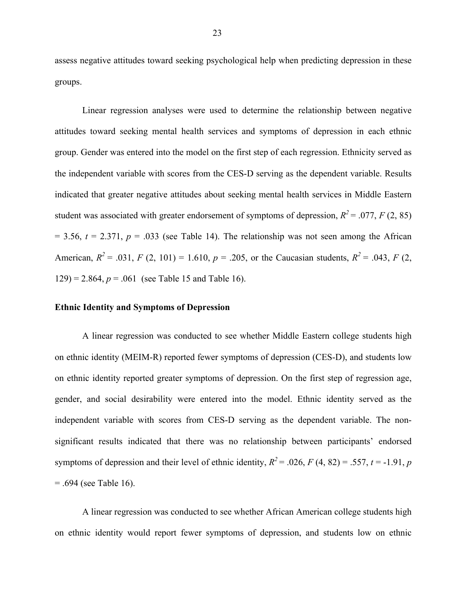assess negative attitudes toward seeking psychological help when predicting depression in these groups.

Linear regression analyses were used to determine the relationship between negative attitudes toward seeking mental health services and symptoms of depression in each ethnic group. Gender was entered into the model on the first step of each regression. Ethnicity served as the independent variable with scores from the CES-D serving as the dependent variable. Results indicated that greater negative attitudes about seeking mental health services in Middle Eastern student was associated with greater endorsement of symptoms of depression,  $R^2 = .077$ , *F* (2, 85)  $= 3.56$ ,  $t = 2.371$ ,  $p = .033$  (see Table 14). The relationship was not seen among the African American,  $R^2 = .031$ ,  $F (2, 101) = 1.610$ ,  $p = .205$ , or the Caucasian students,  $R^2 = .043$ ,  $F (2, 101) = .043$  $129$ ) = 2.864,  $p = .061$  (see Table 15 and Table 16).

#### **Ethnic Identity and Symptoms of Depression**

A linear regression was conducted to see whether Middle Eastern college students high on ethnic identity (MEIM-R) reported fewer symptoms of depression (CES-D), and students low on ethnic identity reported greater symptoms of depression. On the first step of regression age, gender, and social desirability were entered into the model. Ethnic identity served as the independent variable with scores from CES-D serving as the dependent variable. The nonsignificant results indicated that there was no relationship between participants' endorsed symptoms of depression and their level of ethnic identity,  $R^2 = .026$ ,  $F(4, 82) = .557$ ,  $t = -1.91$ , *p*  $= .694$  (see Table 16).

A linear regression was conducted to see whether African American college students high on ethnic identity would report fewer symptoms of depression, and students low on ethnic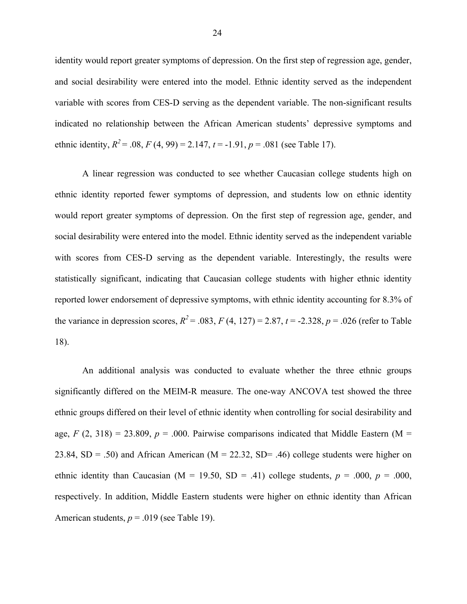identity would report greater symptoms of depression. On the first step of regression age, gender, and social desirability were entered into the model. Ethnic identity served as the independent variable with scores from CES-D serving as the dependent variable. The non-significant results indicated no relationship between the African American students' depressive symptoms and ethnic identity,  $R^2 = .08$ ,  $F(4, 99) = 2.147$ ,  $t = -1.91$ ,  $p = .081$  (see Table 17).

A linear regression was conducted to see whether Caucasian college students high on ethnic identity reported fewer symptoms of depression, and students low on ethnic identity would report greater symptoms of depression. On the first step of regression age, gender, and social desirability were entered into the model. Ethnic identity served as the independent variable with scores from CES-D serving as the dependent variable. Interestingly, the results were statistically significant, indicating that Caucasian college students with higher ethnic identity reported lower endorsement of depressive symptoms, with ethnic identity accounting for 8.3% of the variance in depression scores,  $R^2 = .083$ ,  $F(4, 127) = 2.87$ ,  $t = -2.328$ ,  $p = .026$  (refer to Table 18).

An additional analysis was conducted to evaluate whether the three ethnic groups significantly differed on the MEIM-R measure. The one-way ANCOVA test showed the three ethnic groups differed on their level of ethnic identity when controlling for social desirability and age,  $F(2, 318) = 23.809$ ,  $p = .000$ . Pairwise comparisons indicated that Middle Eastern (M = 23.84,  $SD = .50$ ) and African American ( $M = 22.32$ ,  $SD = .46$ ) college students were higher on ethnic identity than Caucasian ( $M = 19.50$ ,  $SD = .41$ ) college students,  $p = .000$ ,  $p = .000$ , respectively. In addition, Middle Eastern students were higher on ethnic identity than African American students,  $p = .019$  (see Table 19).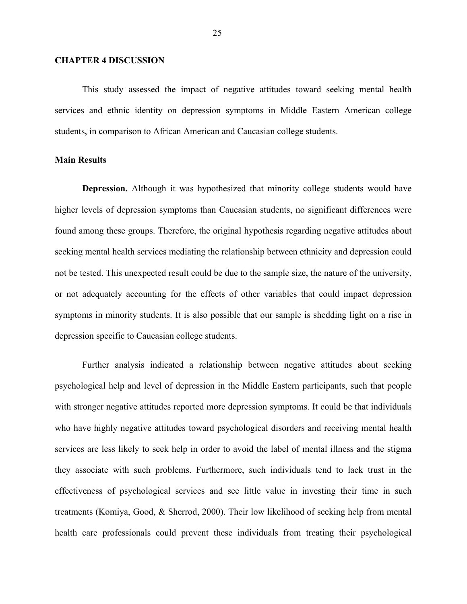#### **CHAPTER 4 DISCUSSION**

This study assessed the impact of negative attitudes toward seeking mental health services and ethnic identity on depression symptoms in Middle Eastern American college students, in comparison to African American and Caucasian college students.

#### **Main Results**

**Depression.** Although it was hypothesized that minority college students would have higher levels of depression symptoms than Caucasian students, no significant differences were found among these groups. Therefore, the original hypothesis regarding negative attitudes about seeking mental health services mediating the relationship between ethnicity and depression could not be tested. This unexpected result could be due to the sample size, the nature of the university, or not adequately accounting for the effects of other variables that could impact depression symptoms in minority students. It is also possible that our sample is shedding light on a rise in depression specific to Caucasian college students.

Further analysis indicated a relationship between negative attitudes about seeking psychological help and level of depression in the Middle Eastern participants, such that people with stronger negative attitudes reported more depression symptoms. It could be that individuals who have highly negative attitudes toward psychological disorders and receiving mental health services are less likely to seek help in order to avoid the label of mental illness and the stigma they associate with such problems. Furthermore, such individuals tend to lack trust in the effectiveness of psychological services and see little value in investing their time in such treatments (Komiya, Good, & Sherrod, 2000). Their low likelihood of seeking help from mental health care professionals could prevent these individuals from treating their psychological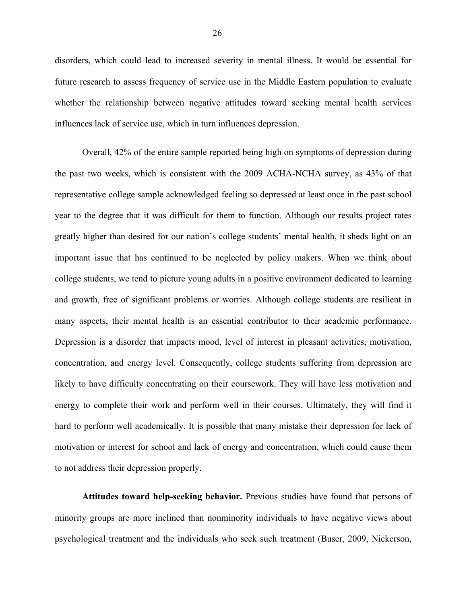disorders, which could lead to increased severity in mental illness. It would be essential for future research to assess frequency of service use in the Middle Eastern population to evaluate whether the relationship between negative attitudes toward seeking mental health services influences lack of service use, which in turn influences depression.

Overall, 42% of the entire sample reported being high on symptoms of depression during the past two weeks, which is consistent with the 2009 ACHA-NCHA survey, as 43% of that representative college sample acknowledged feeling so depressed at least once in the past school year to the degree that it was difficult for them to function. Although our results project rates greatly higher than desired for our nation's college students' mental health, it sheds light on an important issue that has continued to be neglected by policy makers. When we think about college students, we tend to picture young adults in a positive environment dedicated to learning and growth, free of significant problems or worries. Although college students are resilient in many aspects, their mental health is an essential contributor to their academic performance. Depression is a disorder that impacts mood, level of interest in pleasant activities, motivation, concentration, and energy level. Consequently, college students suffering from depression are likely to have difficulty concentrating on their coursework. They will have less motivation and energy to complete their work and perform well in their courses. Ultimately, they will find it hard to perform well academically. It is possible that many mistake their depression for lack of motivation or interest for school and lack of energy and concentration, which could cause them to not address their depression properly.

**Attitudes toward help-seeking behavior.** Previous studies have found that persons of minority groups are more inclined than nonminority individuals to have negative views about psychological treatment and the individuals who seek such treatment (Buser, 2009, Nickerson,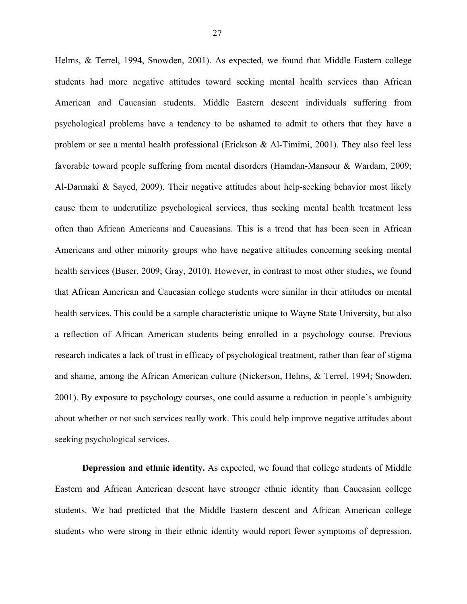Helms, & Terrel, 1994, Snowden, 2001). As expected, we found that Middle Eastern college students had more negative attitudes toward seeking mental health services than African American and Caucasian students. Middle Eastern descent individuals suffering from psychological problems have a tendency to be ashamed to admit to others that they have a problem or see a mental health professional (Erickson & Al-Timimi, 2001). They also feel less favorable toward people suffering from mental disorders (Hamdan-Mansour & Wardam, 2009; Al-Darmaki & Sayed, 2009). Their negative attitudes about help-seeking behavior most likely cause them to underutilize psychological services, thus seeking mental health treatment less often than African Americans and Caucasians. This is a trend that has been seen in African Americans and other minority groups who have negative attitudes concerning seeking mental health services (Buser, 2009; Gray, 2010). However, in contrast to most other studies, we found that African American and Caucasian college students were similar in their attitudes on mental health services. This could be a sample characteristic unique to Wayne State University, but also a reflection of African American students being enrolled in a psychology course. Previous research indicates a lack of trust in efficacy of psychological treatment, rather than fear of stigma and shame, among the African American culture (Nickerson, Helms, & Terrel, 1994; Snowden, 2001). By exposure to psychology courses, one could assume a reduction in people's ambiguity about whether or not such services really work. This could help improve negative attitudes about seeking psychological services.

**Depression and ethnic identity.** As expected, we found that college students of Middle Eastern and African American descent have stronger ethnic identity than Caucasian college students. We had predicted that the Middle Eastern descent and African American college students who were strong in their ethnic identity would report fewer symptoms of depression,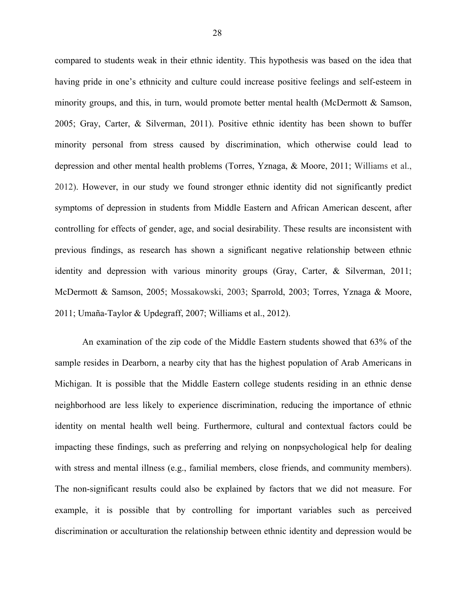compared to students weak in their ethnic identity. This hypothesis was based on the idea that having pride in one's ethnicity and culture could increase positive feelings and self-esteem in minority groups, and this, in turn, would promote better mental health (McDermott & Samson, 2005; Gray, Carter, & Silverman, 2011). Positive ethnic identity has been shown to buffer minority personal from stress caused by discrimination, which otherwise could lead to depression and other mental health problems (Torres, Yznaga, & Moore, 2011; Williams et al., 2012). However, in our study we found stronger ethnic identity did not significantly predict symptoms of depression in students from Middle Eastern and African American descent, after controlling for effects of gender, age, and social desirability. These results are inconsistent with previous findings, as research has shown a significant negative relationship between ethnic identity and depression with various minority groups (Gray, Carter, & Silverman, 2011; McDermott & Samson, 2005; Mossakowski, 2003; Sparrold, 2003; Torres, Yznaga & Moore, 2011; Umaña-Taylor & Updegraff, 2007; Williams et al., 2012).

An examination of the zip code of the Middle Eastern students showed that 63% of the sample resides in Dearborn, a nearby city that has the highest population of Arab Americans in Michigan. It is possible that the Middle Eastern college students residing in an ethnic dense neighborhood are less likely to experience discrimination, reducing the importance of ethnic identity on mental health well being. Furthermore, cultural and contextual factors could be impacting these findings, such as preferring and relying on nonpsychological help for dealing with stress and mental illness (e.g., familial members, close friends, and community members). The non-significant results could also be explained by factors that we did not measure. For example, it is possible that by controlling for important variables such as perceived discrimination or acculturation the relationship between ethnic identity and depression would be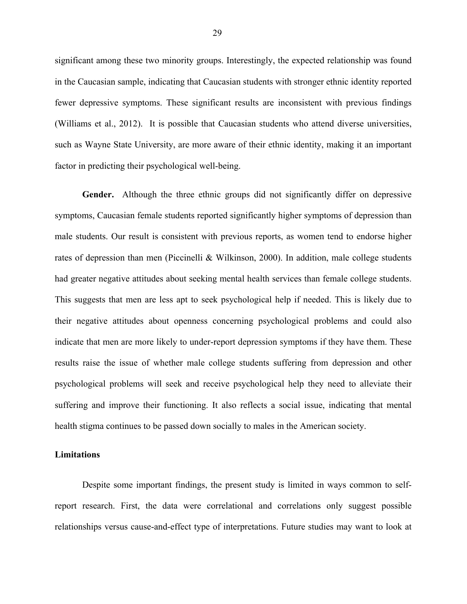significant among these two minority groups. Interestingly, the expected relationship was found in the Caucasian sample, indicating that Caucasian students with stronger ethnic identity reported fewer depressive symptoms. These significant results are inconsistent with previous findings (Williams et al., 2012). It is possible that Caucasian students who attend diverse universities, such as Wayne State University, are more aware of their ethnic identity, making it an important factor in predicting their psychological well-being.

**Gender.** Although the three ethnic groups did not significantly differ on depressive symptoms, Caucasian female students reported significantly higher symptoms of depression than male students. Our result is consistent with previous reports, as women tend to endorse higher rates of depression than men (Piccinelli & Wilkinson, 2000). In addition, male college students had greater negative attitudes about seeking mental health services than female college students. This suggests that men are less apt to seek psychological help if needed. This is likely due to their negative attitudes about openness concerning psychological problems and could also indicate that men are more likely to under-report depression symptoms if they have them. These results raise the issue of whether male college students suffering from depression and other psychological problems will seek and receive psychological help they need to alleviate their suffering and improve their functioning. It also reflects a social issue, indicating that mental health stigma continues to be passed down socially to males in the American society.

#### **Limitations**

Despite some important findings, the present study is limited in ways common to selfreport research. First, the data were correlational and correlations only suggest possible relationships versus cause-and-effect type of interpretations. Future studies may want to look at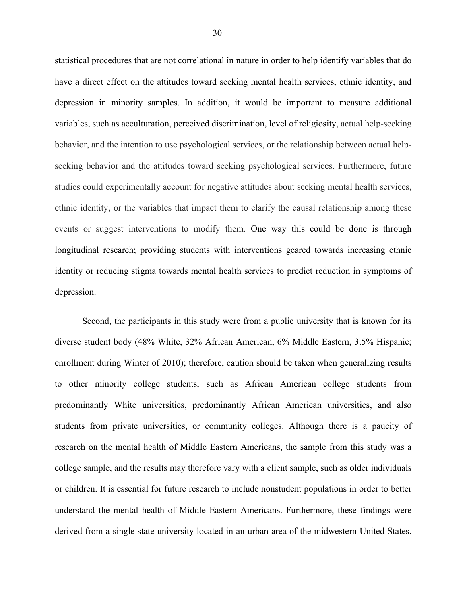statistical procedures that are not correlational in nature in order to help identify variables that do have a direct effect on the attitudes toward seeking mental health services, ethnic identity, and depression in minority samples. In addition, it would be important to measure additional variables, such as acculturation, perceived discrimination, level of religiosity, actual help-seeking behavior, and the intention to use psychological services, or the relationship between actual helpseeking behavior and the attitudes toward seeking psychological services. Furthermore, future studies could experimentally account for negative attitudes about seeking mental health services, ethnic identity, or the variables that impact them to clarify the causal relationship among these events or suggest interventions to modify them. One way this could be done is through longitudinal research; providing students with interventions geared towards increasing ethnic identity or reducing stigma towards mental health services to predict reduction in symptoms of depression.

Second, the participants in this study were from a public university that is known for its diverse student body (48% White, 32% African American, 6% Middle Eastern, 3.5% Hispanic; enrollment during Winter of 2010); therefore, caution should be taken when generalizing results to other minority college students, such as African American college students from predominantly White universities, predominantly African American universities, and also students from private universities, or community colleges. Although there is a paucity of research on the mental health of Middle Eastern Americans, the sample from this study was a college sample, and the results may therefore vary with a client sample, such as older individuals or children. It is essential for future research to include nonstudent populations in order to better understand the mental health of Middle Eastern Americans. Furthermore, these findings were derived from a single state university located in an urban area of the midwestern United States.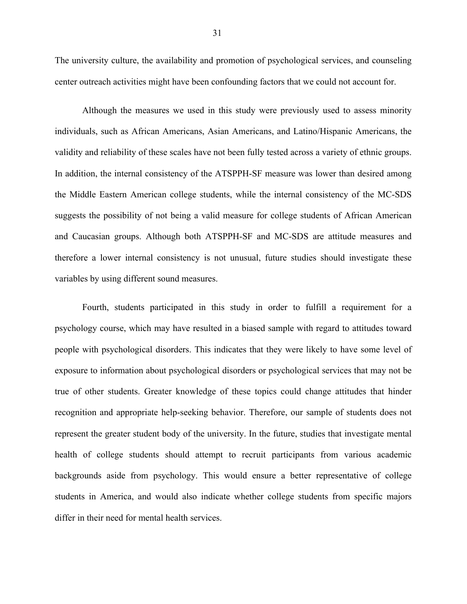The university culture, the availability and promotion of psychological services, and counseling center outreach activities might have been confounding factors that we could not account for.

Although the measures we used in this study were previously used to assess minority individuals, such as African Americans, Asian Americans, and Latino/Hispanic Americans, the validity and reliability of these scales have not been fully tested across a variety of ethnic groups. In addition, the internal consistency of the ATSPPH-SF measure was lower than desired among the Middle Eastern American college students, while the internal consistency of the MC-SDS suggests the possibility of not being a valid measure for college students of African American and Caucasian groups. Although both ATSPPH-SF and MC-SDS are attitude measures and therefore a lower internal consistency is not unusual, future studies should investigate these variables by using different sound measures.

Fourth, students participated in this study in order to fulfill a requirement for a psychology course, which may have resulted in a biased sample with regard to attitudes toward people with psychological disorders. This indicates that they were likely to have some level of exposure to information about psychological disorders or psychological services that may not be true of other students. Greater knowledge of these topics could change attitudes that hinder recognition and appropriate help-seeking behavior. Therefore, our sample of students does not represent the greater student body of the university. In the future, studies that investigate mental health of college students should attempt to recruit participants from various academic backgrounds aside from psychology. This would ensure a better representative of college students in America, and would also indicate whether college students from specific majors differ in their need for mental health services.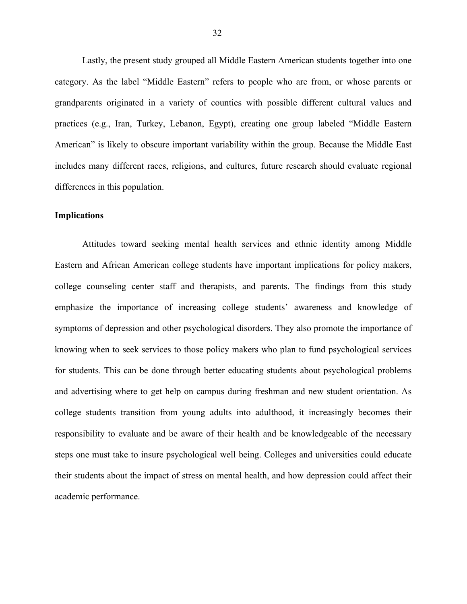Lastly, the present study grouped all Middle Eastern American students together into one category. As the label "Middle Eastern" refers to people who are from, or whose parents or grandparents originated in a variety of counties with possible different cultural values and practices (e.g., Iran, Turkey, Lebanon, Egypt), creating one group labeled "Middle Eastern American" is likely to obscure important variability within the group. Because the Middle East includes many different races, religions, and cultures, future research should evaluate regional differences in this population.

#### **Implications**

Attitudes toward seeking mental health services and ethnic identity among Middle Eastern and African American college students have important implications for policy makers, college counseling center staff and therapists, and parents. The findings from this study emphasize the importance of increasing college students' awareness and knowledge of symptoms of depression and other psychological disorders. They also promote the importance of knowing when to seek services to those policy makers who plan to fund psychological services for students. This can be done through better educating students about psychological problems and advertising where to get help on campus during freshman and new student orientation. As college students transition from young adults into adulthood, it increasingly becomes their responsibility to evaluate and be aware of their health and be knowledgeable of the necessary steps one must take to insure psychological well being. Colleges and universities could educate their students about the impact of stress on mental health, and how depression could affect their academic performance.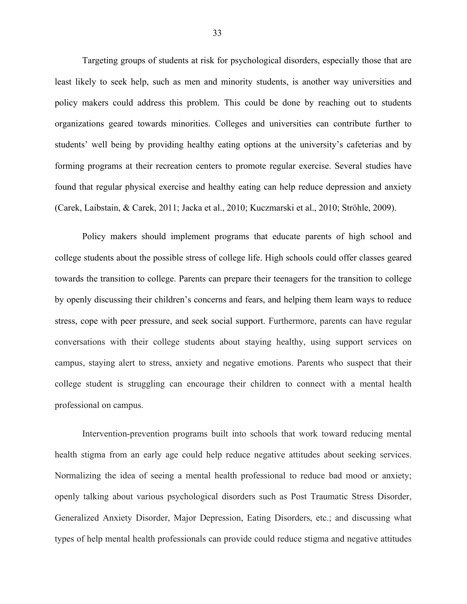Targeting groups of students at risk for psychological disorders, especially those that are least likely to seek help, such as men and minority students, is another way universities and policy makers could address this problem. This could be done by reaching out to students organizations geared towards minorities. Colleges and universities can contribute further to students' well being by providing healthy eating options at the university's cafeterias and by forming programs at their recreation centers to promote regular exercise. Several studies have found that regular physical exercise and healthy eating can help reduce depression and anxiety (Carek, Laibstain, & Carek, 2011; Jacka et al., 2010; Kuczmarski et al., 2010; Ströhle, 2009).

Policy makers should implement programs that educate parents of high school and college students about the possible stress of college life. High schools could offer classes geared towards the transition to college. Parents can prepare their teenagers for the transition to college by openly discussing their children's concerns and fears, and helping them learn ways to reduce stress, cope with peer pressure, and seek social support. Furthermore, parents can have regular conversations with their college students about staying healthy, using support services on campus, staying alert to stress, anxiety and negative emotions. Parents who suspect that their college student is struggling can encourage their children to connect with a mental health professional on campus.

Intervention-prevention programs built into schools that work toward reducing mental health stigma from an early age could help reduce negative attitudes about seeking services. Normalizing the idea of seeing a mental health professional to reduce bad mood or anxiety; openly talking about various psychological disorders such as Post Traumatic Stress Disorder, Generalized Anxiety Disorder, Major Depression, Eating Disorders, etc.; and discussing what types of help mental health professionals can provide could reduce stigma and negative attitudes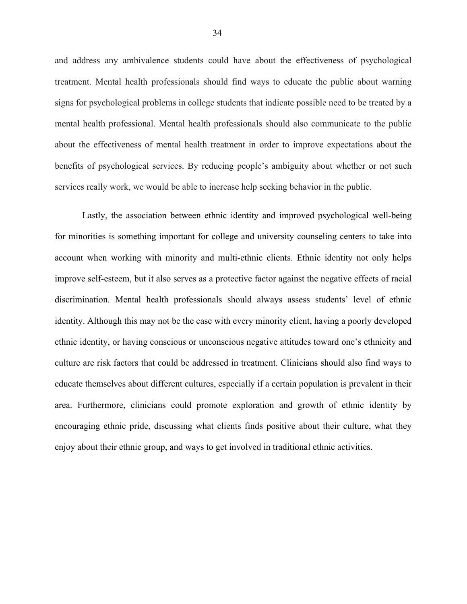and address any ambivalence students could have about the effectiveness of psychological treatment. Mental health professionals should find ways to educate the public about warning signs for psychological problems in college students that indicate possible need to be treated by a mental health professional. Mental health professionals should also communicate to the public about the effectiveness of mental health treatment in order to improve expectations about the benefits of psychological services. By reducing people's ambiguity about whether or not such services really work, we would be able to increase help seeking behavior in the public.

Lastly, the association between ethnic identity and improved psychological well-being for minorities is something important for college and university counseling centers to take into account when working with minority and multi-ethnic clients. Ethnic identity not only helps improve self-esteem, but it also serves as a protective factor against the negative effects of racial discrimination. Mental health professionals should always assess students' level of ethnic identity. Although this may not be the case with every minority client, having a poorly developed ethnic identity, or having conscious or unconscious negative attitudes toward one's ethnicity and culture are risk factors that could be addressed in treatment. Clinicians should also find ways to educate themselves about different cultures, especially if a certain population is prevalent in their area. Furthermore, clinicians could promote exploration and growth of ethnic identity by encouraging ethnic pride, discussing what clients finds positive about their culture, what they enjoy about their ethnic group, and ways to get involved in traditional ethnic activities.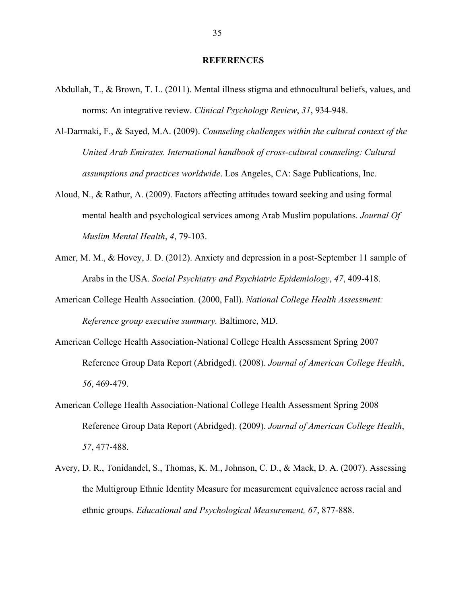#### **REFERENCES**

- Abdullah, T., & Brown, T. L. (2011). Mental illness stigma and ethnocultural beliefs, values, and norms: An integrative review. *Clinical Psychology Review*, *31*, 934-948.
- Al-Darmaki, F., & Sayed, M.A. (2009). *Counseling challenges within the cultural context of the United Arab Emirates. International handbook of cross-cultural counseling: Cultural assumptions and practices worldwide*. Los Angeles, CA: Sage Publications, Inc.
- Aloud, N., & Rathur, A. (2009). Factors affecting attitudes toward seeking and using formal mental health and psychological services among Arab Muslim populations. *Journal Of Muslim Mental Health*, *4*, 79-103.
- Amer, M. M., & Hovey, J. D. (2012). Anxiety and depression in a post-September 11 sample of Arabs in the USA. *Social Psychiatry and Psychiatric Epidemiology*, *47*, 409-418.
- American College Health Association. (2000, Fall). *National College Health Assessment: Reference group executive summary.* Baltimore, MD.
- American College Health Association-National College Health Assessment Spring 2007 Reference Group Data Report (Abridged). (2008). *Journal of American College Health*, *56*, 469-479.
- American College Health Association-National College Health Assessment Spring 2008 Reference Group Data Report (Abridged). (2009). *Journal of American College Health*, *57*, 477-488.
- Avery, D. R., Tonidandel, S., Thomas, K. M., Johnson, C. D., & Mack, D. A. (2007). Assessing the Multigroup Ethnic Identity Measure for measurement equivalence across racial and ethnic groups. *Educational and Psychological Measurement, 67*, 877-888.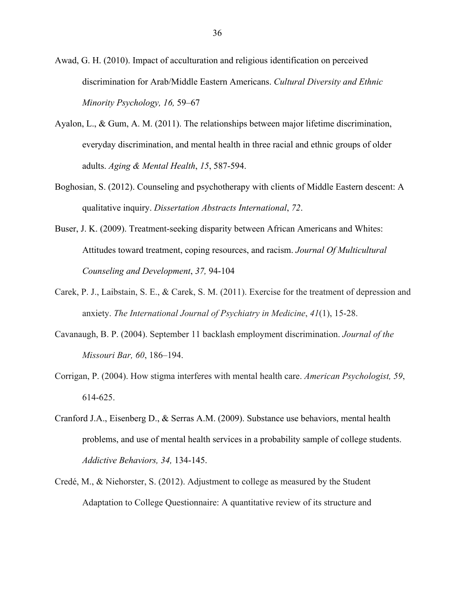- Awad, G. H. (2010). Impact of acculturation and religious identification on perceived discrimination for Arab/Middle Eastern Americans. *Cultural Diversity and Ethnic Minority Psychology, 16,* 59–67
- Ayalon, L., & Gum, A. M. (2011). The relationships between major lifetime discrimination, everyday discrimination, and mental health in three racial and ethnic groups of older adults. *Aging & Mental Health*, *15*, 587-594.
- Boghosian, S. (2012). Counseling and psychotherapy with clients of Middle Eastern descent: A qualitative inquiry. *Dissertation Abstracts International*, *72*.
- Buser, J. K. (2009). Treatment-seeking disparity between African Americans and Whites: Attitudes toward treatment, coping resources, and racism. *Journal Of Multicultural Counseling and Development*, *37,* 94-104
- Carek, P. J., Laibstain, S. E., & Carek, S. M. (2011). Exercise for the treatment of depression and anxiety. *The International Journal of Psychiatry in Medicine*, *41*(1), 15-28.
- Cavanaugh, B. P. (2004). September 11 backlash employment discrimination. *Journal of the Missouri Bar, 60*, 186–194.
- Corrigan, P. (2004). How stigma interferes with mental health care. *American Psychologist, 59*, 614-625.
- Cranford J.A., Eisenberg D., & Serras A.M. (2009). Substance use behaviors, mental health problems, and use of mental health services in a probability sample of college students. *Addictive Behaviors, 34,* 134-145.
- Credé, M., & Niehorster, S. (2012). Adjustment to college as measured by the Student Adaptation to College Questionnaire: A quantitative review of its structure and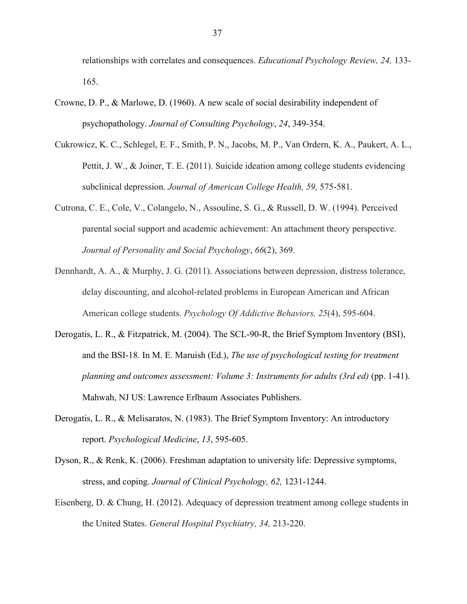relationships with correlates and consequences. *Educational Psychology Review, 24,* 133- 165.

- Crowne, D. P., & Marlowe, D. (1960). A new scale of social desirability independent of psychopathology. *Journal of Consulting Psychology*, *24*, 349-354.
- Cukrowicz, K. C., Schlegel, E. F., Smith, P. N., Jacobs, M. P., Van Ordern, K. A., Paukert, A. L., Pettit, J. W., & Joiner, T. E. (2011). Suicide ideation among college students evidencing subclinical depression. *Journal of American College Health, 59,* 575-581.
- Cutrona, C. E., Cole, V., Colangelo, N., Assouline, S. G., & Russell, D. W. (1994). Perceived parental social support and academic achievement: An attachment theory perspective. *Journal of Personality and Social Psychology*, *66*(2), 369.
- Dennhardt, A. A., & Murphy, J. G. (2011). Associations between depression, distress tolerance, delay discounting, and alcohol-related problems in European American and African American college students. *Psychology Of Addictive Behaviors, 25*(4), 595-604.
- Derogatis, L. R., & Fitzpatrick, M. (2004). The SCL-90-R, the Brief Symptom Inventory (BSI), and the BSI-18. In M. E. Maruish (Ed.), *The use of psychological testing for treatment planning and outcomes assessment: Volume 3: Instruments for adults (3rd ed)* (pp. 1-41). Mahwah, NJ US: Lawrence Erlbaum Associates Publishers.
- Derogatis, L. R., & Melisaratos, N. (1983). The Brief Symptom Inventory: An introductory report. *Psychological Medicine*, *13*, 595-605.
- Dyson, R., & Renk, K. (2006). Freshman adaptation to university life: Depressive symptoms, stress, and coping. *Journal of Clinical Psychology, 62,* 1231-1244.
- Eisenberg, D. & Chung, H. (2012). Adequacy of depression treatment among college students in the United States. *General Hospital Psychiatry, 34,* 213-220.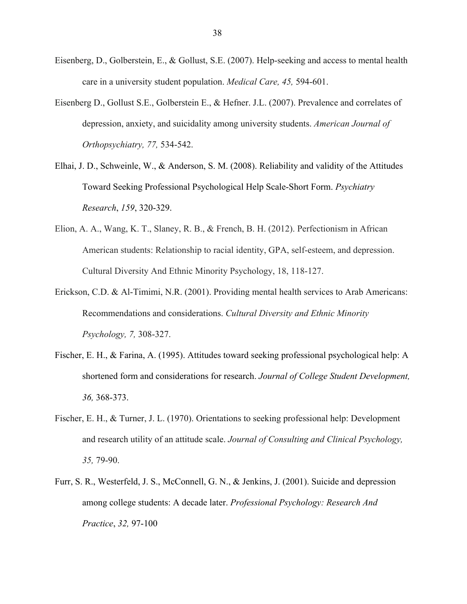- Eisenberg, D., Golberstein, E., & Gollust, S.E. (2007). Help-seeking and access to mental health care in a university student population. *Medical Care, 45,* 594-601.
- Eisenberg D., Gollust S.E., Golberstein E., & Hefner. J.L. (2007). Prevalence and correlates of depression, anxiety, and suicidality among university students. *American Journal of Orthopsychiatry, 77,* 534-542.
- Elhai, J. D., Schweinle, W., & Anderson, S. M. (2008). Reliability and validity of the Attitudes Toward Seeking Professional Psychological Help Scale-Short Form. *Psychiatry Research*, *159*, 320-329.
- Elion, A. A., Wang, K. T., Slaney, R. B., & French, B. H. (2012). Perfectionism in African American students: Relationship to racial identity, GPA, self-esteem, and depression. Cultural Diversity And Ethnic Minority Psychology, 18, 118-127.
- Erickson, C.D. & Al-Timimi, N.R. (2001). Providing mental health services to Arab Americans: Recommendations and considerations. *Cultural Diversity and Ethnic Minority Psychology, 7,* 308-327.
- Fischer, E. H., & Farina, A. (1995). Attitudes toward seeking professional psychological help: A shortened form and considerations for research. *Journal of College Student Development, 36,* 368-373.
- Fischer, E. H., & Turner, J. L. (1970). Orientations to seeking professional help: Development and research utility of an attitude scale. *Journal of Consulting and Clinical Psychology, 35,* 79-90.
- Furr, S. R., Westerfeld, J. S., McConnell, G. N., & Jenkins, J. (2001). Suicide and depression among college students: A decade later. *Professional Psychology: Research And Practice*, *32,* 97-100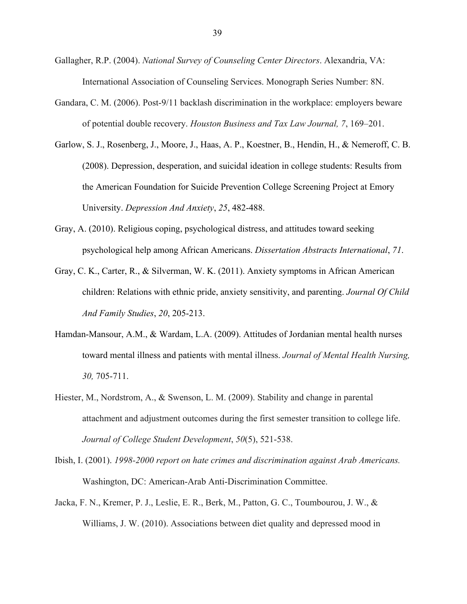- Gallagher, R.P. (2004). *National Survey of Counseling Center Directors*. Alexandria, VA: International Association of Counseling Services. Monograph Series Number: 8N.
- Gandara, C. M. (2006). Post-9/11 backlash discrimination in the workplace: employers beware of potential double recovery. *Houston Business and Tax Law Journal, 7*, 169–201.
- Garlow, S. J., Rosenberg, J., Moore, J., Haas, A. P., Koestner, B., Hendin, H., & Nemeroff, C. B. (2008). Depression, desperation, and suicidal ideation in college students: Results from the American Foundation for Suicide Prevention College Screening Project at Emory University. *Depression And Anxiety*, *25*, 482-488.
- Gray, A. (2010). Religious coping, psychological distress, and attitudes toward seeking psychological help among African Americans. *Dissertation Abstracts International*, *71*.
- Gray, C. K., Carter, R., & Silverman, W. K. (2011). Anxiety symptoms in African American children: Relations with ethnic pride, anxiety sensitivity, and parenting. *Journal Of Child And Family Studies*, *20*, 205-213.
- Hamdan-Mansour, A.M., & Wardam, L.A. (2009). Attitudes of Jordanian mental health nurses toward mental illness and patients with mental illness. *Journal of Mental Health Nursing, 30,* 705-711.
- Hiester, M., Nordstrom, A., & Swenson, L. M. (2009). Stability and change in parental attachment and adjustment outcomes during the first semester transition to college life. *Journal of College Student Development*, *50*(5), 521-538.
- Ibish, I. (2001). *1998-2000 report on hate crimes and discrimination against Arab Americans.* Washington, DC: American-Arab Anti-Discrimination Committee.
- Jacka, F. N., Kremer, P. J., Leslie, E. R., Berk, M., Patton, G. C., Toumbourou, J. W., & Williams, J. W. (2010). Associations between diet quality and depressed mood in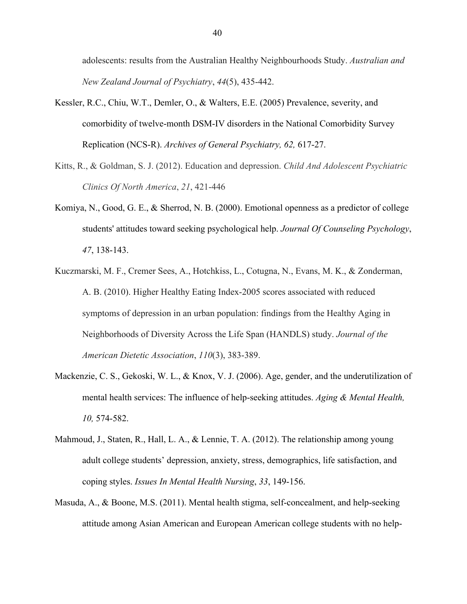adolescents: results from the Australian Healthy Neighbourhoods Study. *Australian and New Zealand Journal of Psychiatry*, *44*(5), 435-442.

- Kessler, R.C., Chiu, W.T., Demler, O., & Walters, E.E. (2005) Prevalence, severity, and comorbidity of twelve-month DSM-IV disorders in the National Comorbidity Survey Replication (NCS-R). *Archives of General Psychiatry, 62,* 617-27.
- Kitts, R., & Goldman, S. J. (2012). Education and depression. *Child And Adolescent Psychiatric Clinics Of North America*, *21*, 421-446
- Komiya, N., Good, G. E., & Sherrod, N. B. (2000). Emotional openness as a predictor of college students' attitudes toward seeking psychological help. *Journal Of Counseling Psychology*, *47*, 138-143.
- Kuczmarski, M. F., Cremer Sees, A., Hotchkiss, L., Cotugna, N., Evans, M. K., & Zonderman, A. B. (2010). Higher Healthy Eating Index-2005 scores associated with reduced symptoms of depression in an urban population: findings from the Healthy Aging in Neighborhoods of Diversity Across the Life Span (HANDLS) study. *Journal of the American Dietetic Association*, *110*(3), 383-389.
- Mackenzie, C. S., Gekoski, W. L., & Knox, V. J. (2006). Age, gender, and the underutilization of mental health services: The influence of help-seeking attitudes. *Aging & Mental Health, 10,* 574-582.
- Mahmoud, J., Staten, R., Hall, L. A., & Lennie, T. A. (2012). The relationship among young adult college students' depression, anxiety, stress, demographics, life satisfaction, and coping styles. *Issues In Mental Health Nursing*, *33*, 149-156.
- Masuda, A., & Boone, M.S. (2011). Mental health stigma, self-concealment, and help-seeking attitude among Asian American and European American college students with no help-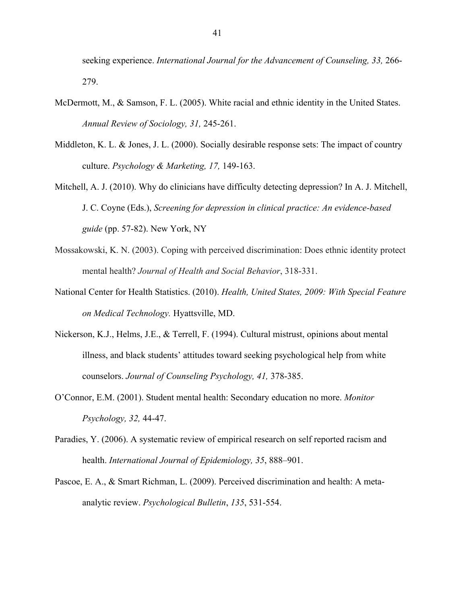seeking experience. *International Journal for the Advancement of Counseling, 33,* 266- 279.

- McDermott, M., & Samson, F. L. (2005). White racial and ethnic identity in the United States. *Annual Review of Sociology, 31,* 245-261.
- Middleton, K. L. & Jones, J. L. (2000). Socially desirable response sets: The impact of country culture. *Psychology & Marketing, 17,* 149-163.
- Mitchell, A. J. (2010). Why do clinicians have difficulty detecting depression? In A. J. Mitchell, J. C. Coyne (Eds.), *Screening for depression in clinical practice: An evidence-based guide* (pp. 57-82). New York, NY
- Mossakowski, K. N. (2003). Coping with perceived discrimination: Does ethnic identity protect mental health? *Journal of Health and Social Behavior*, 318-331.
- National Center for Health Statistics. (2010). *Health, United States, 2009: With Special Feature on Medical Technology.* Hyattsville, MD.
- Nickerson, K.J., Helms, J.E., & Terrell, F. (1994). Cultural mistrust, opinions about mental illness, and black students' attitudes toward seeking psychological help from white counselors. *Journal of Counseling Psychology, 41,* 378-385.
- O'Connor, E.M. (2001). Student mental health: Secondary education no more. *Monitor Psychology, 32,* 44-47.
- Paradies, Y. (2006). A systematic review of empirical research on self reported racism and health. *International Journal of Epidemiology, 35*, 888–901.
- Pascoe, E. A., & Smart Richman, L. (2009). Perceived discrimination and health: A metaanalytic review. *Psychological Bulletin*, *135*, 531-554.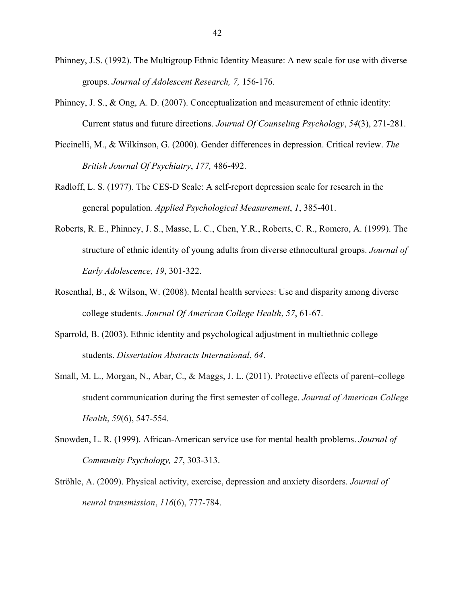- Phinney, J.S. (1992). The Multigroup Ethnic Identity Measure: A new scale for use with diverse groups. *Journal of Adolescent Research, 7,* 156-176.
- Phinney, J. S., & Ong, A. D. (2007). Conceptualization and measurement of ethnic identity: Current status and future directions. *Journal Of Counseling Psychology*, *54*(3), 271-281.
- Piccinelli, M., & Wilkinson, G. (2000). Gender differences in depression. Critical review. *The British Journal Of Psychiatry*, *177,* 486-492.
- Radloff, L. S. (1977). The CES-D Scale: A self-report depression scale for research in the general population. *Applied Psychological Measurement*, *1*, 385-401.
- Roberts, R. E., Phinney, J. S., Masse, L. C., Chen, Y.R., Roberts, C. R., Romero, A. (1999). The structure of ethnic identity of young adults from diverse ethnocultural groups. *Journal of Early Adolescence, 19*, 301-322.
- Rosenthal, B., & Wilson, W. (2008). Mental health services: Use and disparity among diverse college students. *Journal Of American College Health*, *57*, 61-67.
- Sparrold, B. (2003). Ethnic identity and psychological adjustment in multiethnic college students. *Dissertation Abstracts International*, *64*.
- Small, M. L., Morgan, N., Abar, C., & Maggs, J. L. (2011). Protective effects of parent–college student communication during the first semester of college. *Journal of American College Health*, *59*(6), 547-554.
- Snowden, L. R. (1999). African-American service use for mental health problems. *Journal of Community Psychology, 27*, 303-313.
- Ströhle, A. (2009). Physical activity, exercise, depression and anxiety disorders. *Journal of neural transmission*, *116*(6), 777-784.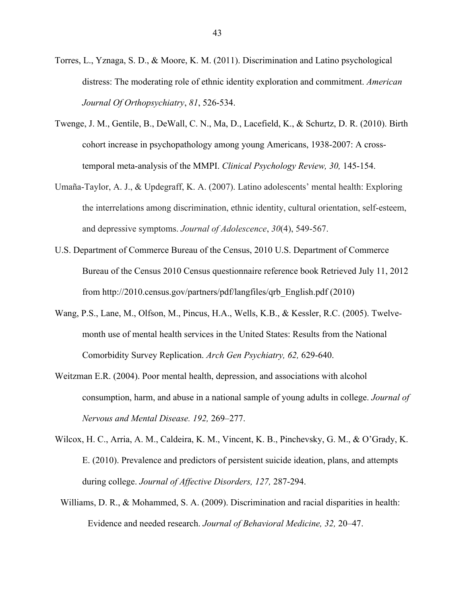- Torres, L., Yznaga, S. D., & Moore, K. M. (2011). Discrimination and Latino psychological distress: The moderating role of ethnic identity exploration and commitment. *American Journal Of Orthopsychiatry*, *81*, 526-534.
- Twenge, J. M., Gentile, B., DeWall, C. N., Ma, D., Lacefield, K., & Schurtz, D. R. (2010). Birth cohort increase in psychopathology among young Americans, 1938-2007: A crosstemporal meta-analysis of the MMPI. *Clinical Psychology Review, 30,* 145-154.
- Umaña-Taylor, A. J., & Updegraff, K. A. (2007). Latino adolescents' mental health: Exploring the interrelations among discrimination, ethnic identity, cultural orientation, self-esteem, and depressive symptoms. *Journal of Adolescence*, *30*(4), 549-567.
- U.S. Department of Commerce Bureau of the Census, 2010 U.S. Department of Commerce Bureau of the Census 2010 Census questionnaire reference book Retrieved July 11, 2012 from http://2010.census.gov/partners/pdf/langfiles/qrb\_English.pdf (2010)
- Wang, P.S., Lane, M., Olfson, M., Pincus, H.A., Wells, K.B., & Kessler, R.C. (2005). Twelvemonth use of mental health services in the United States: Results from the National Comorbidity Survey Replication. *Arch Gen Psychiatry, 62,* 629-640.
- Weitzman E.R. (2004). Poor mental health, depression, and associations with alcohol consumption, harm, and abuse in a national sample of young adults in college. *Journal of Nervous and Mental Disease. 192,* 269–277.
- Wilcox, H. C., Arria, A. M., Caldeira, K. M., Vincent, K. B., Pinchevsky, G. M., & O'Grady, K. E. (2010). Prevalence and predictors of persistent suicide ideation, plans, and attempts during college. *Journal of Affective Disorders, 127,* 287-294.
	- Williams, D. R., & Mohammed, S. A. (2009). Discrimination and racial disparities in health: Evidence and needed research. *Journal of Behavioral Medicine, 32,* 20–47.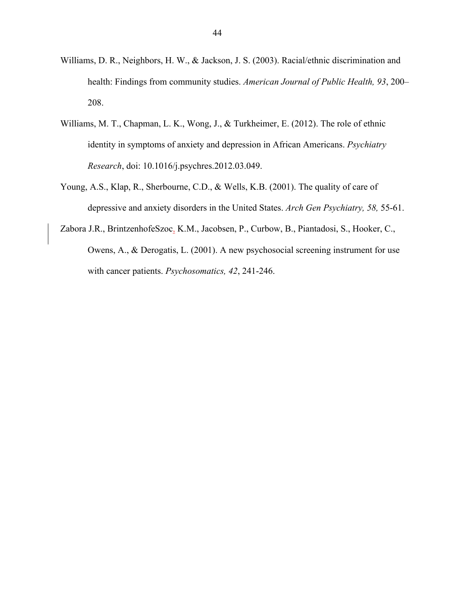- Williams, D. R., Neighbors, H. W., & Jackson, J. S. (2003). Racial/ethnic discrimination and health: Findings from community studies. *American Journal of Public Health, 93*, 200– 208.
- Williams, M. T., Chapman, L. K., Wong, J., & Turkheimer, E. (2012). The role of ethnic identity in symptoms of anxiety and depression in African Americans. *Psychiatry Research*, doi: 10.1016/j.psychres.2012.03.049.
- Young, A.S., Klap, R., Sherbourne, C.D., & Wells, K.B. (2001). The quality of care of depressive and anxiety disorders in the United States. *Arch Gen Psychiatry, 58,* 55-61.
- Zabora J.R., BrintzenhofeSzoc, K.M., Jacobsen, P., Curbow, B., Piantadosi, S., Hooker, C., Owens, A., & Derogatis, L. (2001). A new psychosocial screening instrument for use with cancer patients. *Psychosomatics, 42*, 241-246.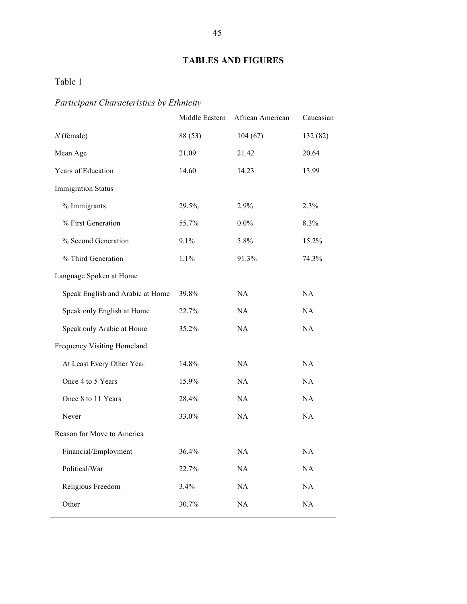## **TABLES AND FIGURES**

Table 1

# *Participant Characteristics by Ethnicity*

|                                  | Middle Eastern | African American | Caucasian |
|----------------------------------|----------------|------------------|-----------|
| $N$ (female)                     | 88 (53)        | 104(67)          | 132 (82)  |
| Mean Age                         | 21.09          | 21.42            | 20.64     |
| Years of Education               | 14.60          | 14.23            | 13.99     |
| <b>Immigration Status</b>        |                |                  |           |
| % Immigrants                     | 29.5%          | 2.9%             | 2.3%      |
| % First Generation               | 55.7%          | $0.0\%$          | 8.3%      |
| % Second Generation              | 9.1%           | 5.8%             | 15.2%     |
| % Third Generation               | 1.1%           | 91.3%            | 74.3%     |
| Language Spoken at Home          |                |                  |           |
| Speak English and Arabic at Home | 39.8%          | NA               | NA        |
| Speak only English at Home       | 22.7%          | NA               | NA        |
| Speak only Arabic at Home        | 35.2%          | NA               | NA        |
| Frequency Visiting Homeland      |                |                  |           |
| At Least Every Other Year        | 14.8%          | NA               | NA        |
| Once 4 to 5 Years                | 15.9%          | NA               | NA        |
| Once 8 to 11 Years               | 28.4%          | NA               | NA        |
| Never                            | 33.0%          | NA               | NA        |
| Reason for Move to America       |                |                  |           |
| Financial/Employment             | 36.4%          | NA               | NA        |
| Political/War                    | 22.7%          | $\rm NA$         | $\rm NA$  |
| Religious Freedom                | 3.4%           | $\rm NA$         | $\rm NA$  |
| Other                            | 30.7%          | $\rm NA$         | $\rm NA$  |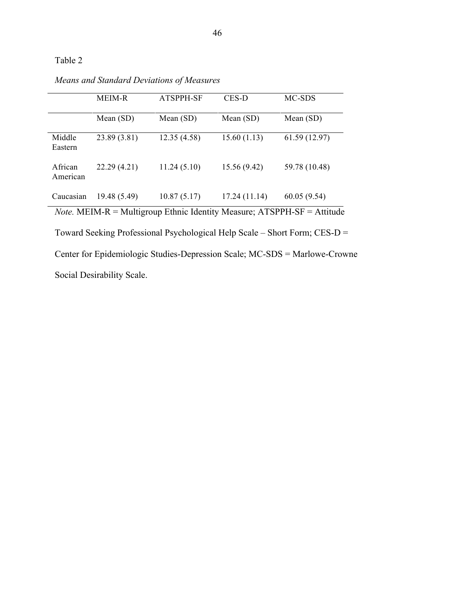|                     | <b>MEIM-R</b>                                                                   | ATSPPH-SF   | CES-D         | MC-SDS        |  |  |
|---------------------|---------------------------------------------------------------------------------|-------------|---------------|---------------|--|--|
|                     | Mean $(SD)$                                                                     | Mean $(SD)$ | Mean $(SD)$   | Mean $(SD)$   |  |  |
| Middle<br>Eastern   | 23.89 (3.81)                                                                    | 12.35(4.58) | 15.60(1.13)   | 61.59(12.97)  |  |  |
| African<br>American | 22.29(4.21)                                                                     | 11.24(5.10) | 15.56 (9.42)  | 59.78 (10.48) |  |  |
| Caucasian           | 19.48 (5.49)                                                                    | 10.87(5.17) | 17.24 (11.14) | 60.05(9.54)   |  |  |
|                     | <i>Note.</i> MEIM-R = Multigroup Ethnic Identity Measure; $ATSPPH-SF = Atitude$ |             |               |               |  |  |

*Means and Standard Deviations of Measures*

Toward Seeking Professional Psychological Help Scale – Short Form; CES-D = Center for Epidemiologic Studies-Depression Scale; MC-SDS = Marlowe-Crowne Social Desirability Scale.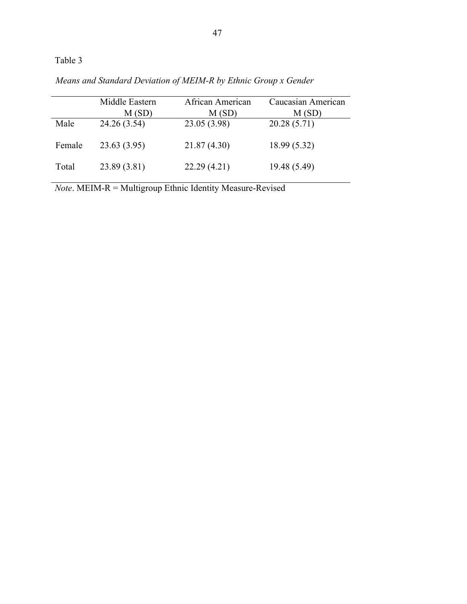|        | Middle Eastern<br>M(SD) | African American<br>M(SD) | Caucasian American<br>M(SD) |
|--------|-------------------------|---------------------------|-----------------------------|
| Male   | 24.26 (3.54)            | 23.05 (3.98)              | 20.28(5.71)                 |
| Female | 23.63(3.95)             | 21.87 (4.30)              | 18.99(5.32)                 |
| Total  | 23.89 (3.81)            | 22.29(4.21)               | 19.48 (5.49)                |

*Means and Standard Deviation of MEIM-R by Ethnic Group x Gender*

*Note*. MEIM-R = Multigroup Ethnic Identity Measure-Revised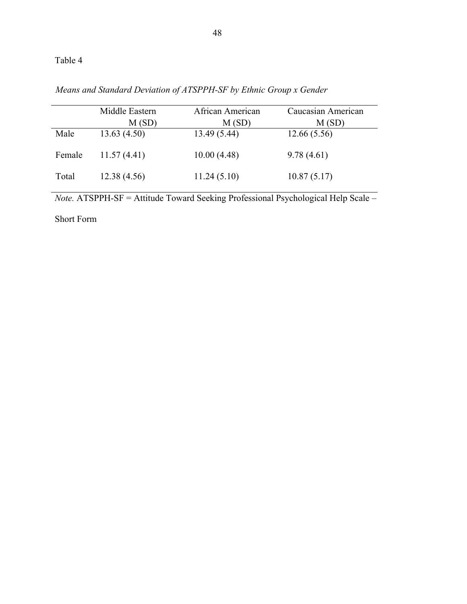|        | Middle Eastern<br>M(SD) | African American<br>M(SD) | Caucasian American<br>M(SD) |
|--------|-------------------------|---------------------------|-----------------------------|
| Male   | 13.63(4.50)             | 13.49 (5.44)              | 12.66(5.56)                 |
| Female | 11.57(4.41)             | 10.00(4.48)               | 9.78(4.61)                  |
| Total  | 12.38 (4.56)            | 11.24(5.10)               | 10.87(5.17)                 |

*Means and Standard Deviation of ATSPPH-SF by Ethnic Group x Gender*

*Note.* ATSPPH-SF = Attitude Toward Seeking Professional Psychological Help Scale –

Short Form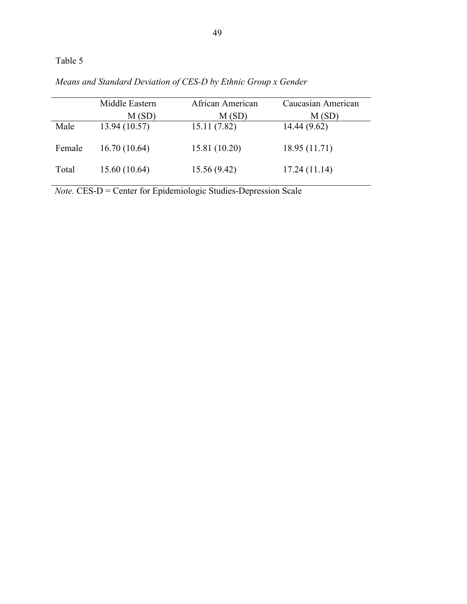|        | Middle Eastern | African American | Caucasian American |
|--------|----------------|------------------|--------------------|
|        | M(SD)          | M(SD)            | M(SD)              |
| Male   | 13.94 (10.57)  | 15.11(7.82)      | 14.44 (9.62)       |
| Female | 16.70(10.64)   | 15.81 (10.20)    | 18.95 (11.71)      |
| Total  | 15.60 (10.64)  | 15.56(9.42)      | 17.24(11.14)       |

*Means and Standard Deviation of CES-D by Ethnic Group x Gender*

*Note.* CES-D = Center for Epidemiologic Studies-Depression Scale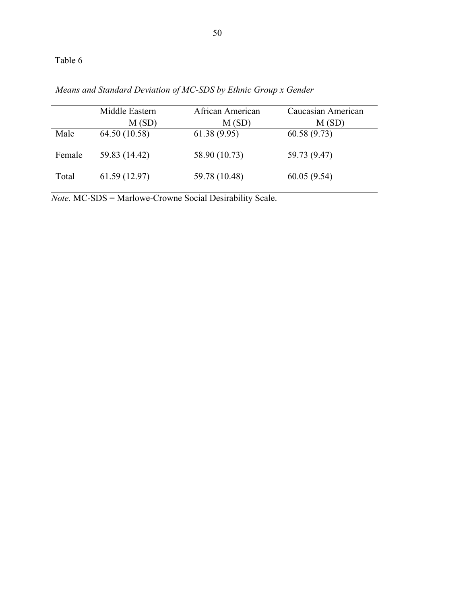|        | Middle Eastern<br>M(SD) | African American<br>M(SD) | Caucasian American<br>M(SD) |
|--------|-------------------------|---------------------------|-----------------------------|
| Male   | 64.50 (10.58)           | 61.38(9.95)               | 60.58(9.73)                 |
| Female | 59.83 (14.42)           | 58.90 (10.73)             | 59.73 (9.47)                |
| Total  | 61.59(12.97)            | 59.78 (10.48)             | 60.05(9.54)                 |

*Means and Standard Deviation of MC-SDS by Ethnic Group x Gender*

*Note.* MC-SDS = Marlowe-Crowne Social Desirability Scale.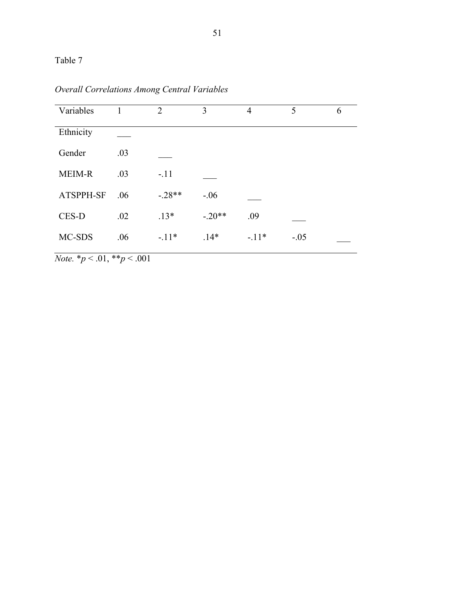| Variables     |     | $\overline{2}$ | 3        | $\overline{4}$ | 5      | 6 |
|---------------|-----|----------------|----------|----------------|--------|---|
| Ethnicity     |     |                |          |                |        |   |
| Gender        | .03 |                |          |                |        |   |
| <b>MEIM-R</b> | .03 | $-.11$         |          |                |        |   |
| ATSPPH-SF     | .06 | $-.28**$       | $-.06$   |                |        |   |
| CES-D         | .02 | $.13*$         | $-.20**$ | .09            |        |   |
| MC-SDS        | .06 | $-11*$         | $.14*$   | $-.11*$        | $-.05$ |   |
|               |     |                |          |                |        |   |

*Overall Correlations Among Central Variables*

*Note.* \**p* < .01, \*\**p* < .001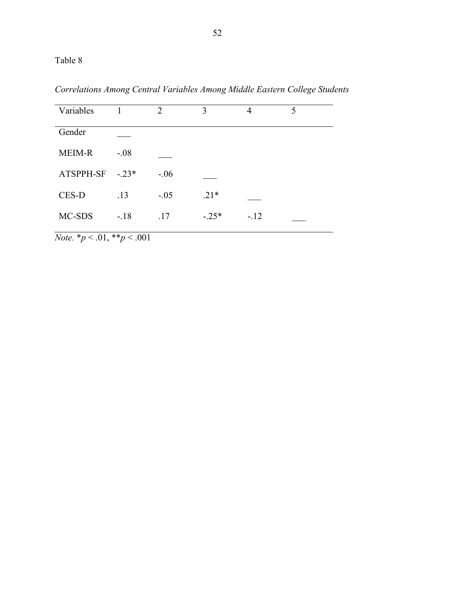*Correlations Among Central Variables Among Middle Eastern College Students*

| Variables     |         | 2      | 3       | 4      | 5 |
|---------------|---------|--------|---------|--------|---|
| Gender        |         |        |         |        |   |
| <b>MEIM-R</b> | $-.08$  |        |         |        |   |
| ATSPPH-SF     | $-.23*$ | $-.06$ |         |        |   |
| CES-D         | .13     | $-.05$ | $.21*$  |        |   |
| MC-SDS        | $-18$   | .17    | $-.25*$ | $-.12$ |   |

*Note.* \**p* < .01, \*\**p* < .001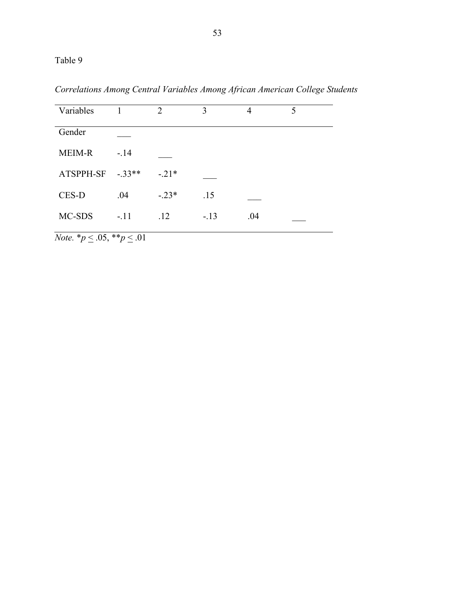|  | Correlations Among Central Variables Among African American College Students |  |  |  |  |  |  |
|--|------------------------------------------------------------------------------|--|--|--|--|--|--|
|--|------------------------------------------------------------------------------|--|--|--|--|--|--|

| Variables     |         | 2       | 3      | 4   | 5 |
|---------------|---------|---------|--------|-----|---|
| Gender        |         |         |        |     |   |
| <b>MEIM-R</b> | $-.14$  |         |        |     |   |
| ATSPPH-SF     | $-33**$ | $-.21*$ |        |     |   |
| CES-D         | .04     | $-.23*$ | .15    |     |   |
| MC-SDS        | $-.11$  | .12     | $-.13$ | .04 |   |

*Note.*  $* p \le 0.05, ** p \le 0.01$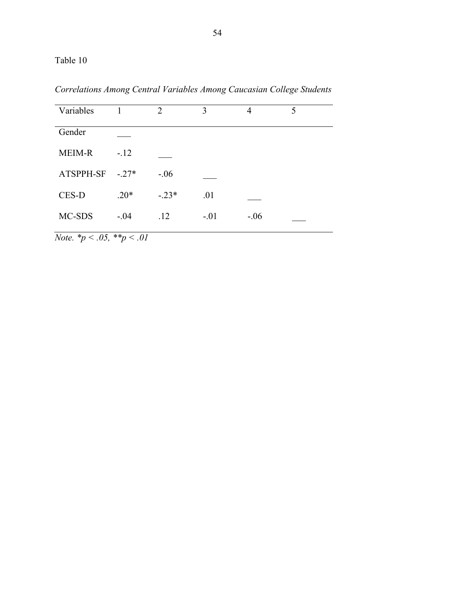| Variables |         | $\overline{2}$ | 3      | 4      | 5 |
|-----------|---------|----------------|--------|--------|---|
| Gender    |         |                |        |        |   |
| MEIM-R    | $-.12$  |                |        |        |   |
| ATSPPH-SF | $-.27*$ | $-.06$         |        |        |   |
| CES-D     | $.20*$  | $-.23*$        | .01    |        |   |
| MC-SDS    | $-.04$  | .12            | $-.01$ | $-.06$ |   |

*Correlations Among Central Variables Among Caucasian College Students*

*Note. \*p < .05, \*\*p < .01*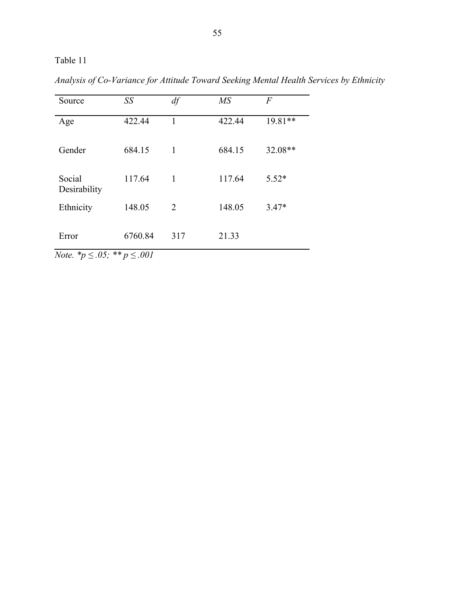| Source                         | SS      | df           | M <sub>S</sub> | $\overline{F}$ |
|--------------------------------|---------|--------------|----------------|----------------|
| Age                            | 422.44  | 1            | 422.44         | 19.81**        |
| Gender                         | 684.15  | 1            | 684.15         | 32.08**        |
| Social<br>Desirability         | 117.64  | $\mathbf{1}$ | 117.64         | $5.52*$        |
| Ethnicity                      | 148.05  | 2            | 148.05         | $3.47*$        |
| Error<br>$\sim$ $ \sim$ $\sim$ | 6760.84 | 317          | 21.33          |                |

*Analysis of Co-Variance for Attitude Toward Seeking Mental Health Services by Ethnicity* 

*Note.*  $^{*}p \leq .05$ ;  $^{**}p \leq .001$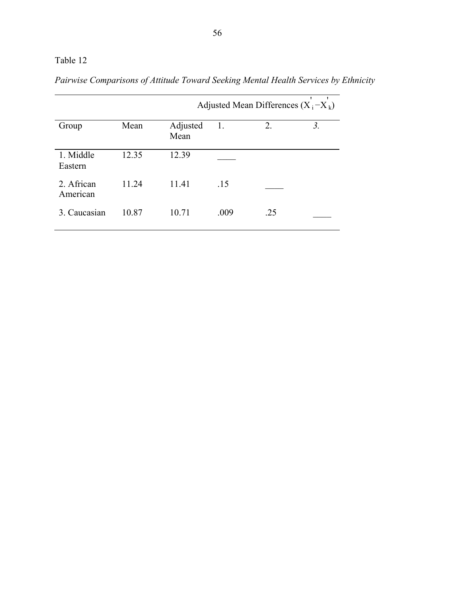| Pairwise Comparisons of Attitude Toward Seeking Mental Health Services by Ethnicity |  |  |
|-------------------------------------------------------------------------------------|--|--|
|                                                                                     |  |  |

|                        |       |                  | Adjusted Mean Differences $(X_i - X_k)$ |     |    |  |  |
|------------------------|-------|------------------|-----------------------------------------|-----|----|--|--|
| Group                  | Mean  | Adjusted<br>Mean | 1.                                      | 2.  | 3. |  |  |
| 1. Middle<br>Eastern   | 12.35 | 12.39            |                                         |     |    |  |  |
| 2. African<br>American | 11.24 | 11.41            | .15                                     |     |    |  |  |
| 3. Caucasian           | 10.87 | 10.71            | .009                                    | .25 |    |  |  |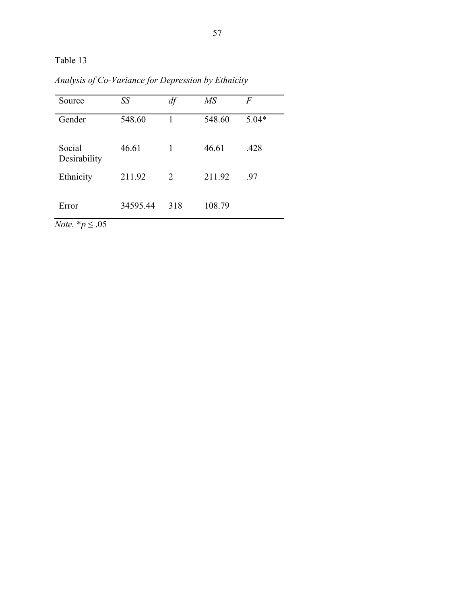| Source                   | SS       | df  | $\overline{MS}$ | F       |
|--------------------------|----------|-----|-----------------|---------|
| Gender                   | 548.60   | 1   | 548.60          | $5.04*$ |
| Social<br>Desirability   | 46.61    | 1   | 46.61           | .428    |
| Ethnicity                | 211.92   | 2   | 211.92          | -97     |
| Error<br>$ -$<br>$\cdot$ | 34595.44 | 318 | 108.79          |         |

*Analysis of Co-Variance for Depression by Ethnicity*

*Note.*  $*$ *p*  $\leq .05$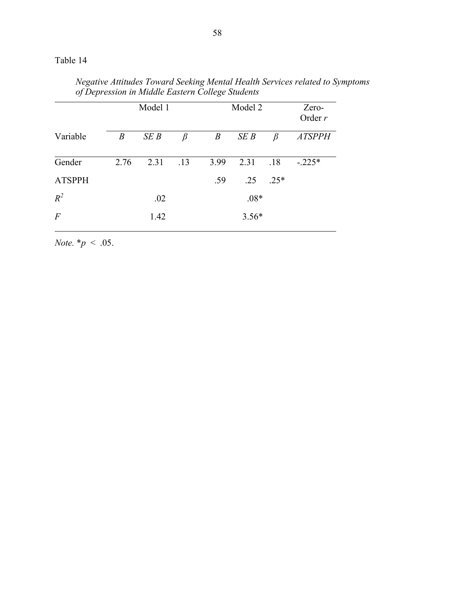*Negative Attitudes Toward Seeking Mental Health Services related to Symptoms of Depression in Middle Eastern College Students*

|                  | Model 1          |      |     |                  | Model 2 | Zero-<br>Order $r$ |               |
|------------------|------------------|------|-----|------------------|---------|--------------------|---------------|
| Variable         | $\boldsymbol{B}$ | SEB  | β   | $\boldsymbol{B}$ | SEB     | β                  | <b>ATSPPH</b> |
| Gender           | 2.76             | 2.31 | .13 | 3.99             | 2.31    | .18                | $-.225*$      |
| <b>ATSPPH</b>    |                  |      |     | .59              | .25     | $.25*$             |               |
| $R^2$            |                  | .02  |     |                  | $.08*$  |                    |               |
| $\boldsymbol{F}$ |                  | 1.42 |     |                  | $3.56*$ |                    |               |

*Note.*  $* p < .05$ .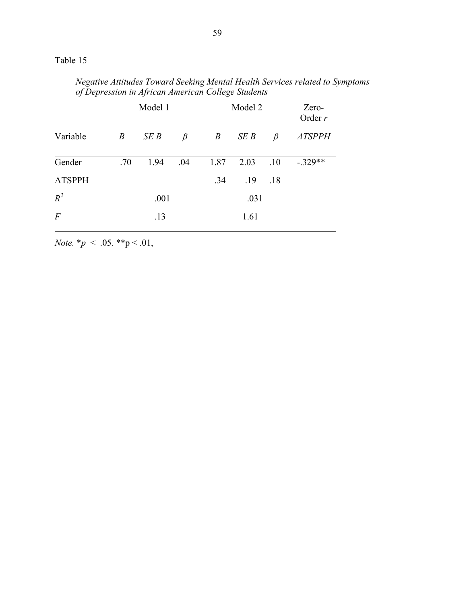*Negative Attitudes Toward Seeking Mental Health Services related to Symptoms of Depression in African American College Students*

|                | Model 1          |      |     |                  | Model 2 | Zero-<br>Order $r$ |               |
|----------------|------------------|------|-----|------------------|---------|--------------------|---------------|
| Variable       | $\boldsymbol{B}$ | SEB  | β   | $\boldsymbol{B}$ | SEB     | β                  | <b>ATSPPH</b> |
| Gender         | .70              | 1.94 | .04 | 1.87             | 2.03    | .10                | $-.329**$     |
| <b>ATSPPH</b>  |                  |      |     | .34              | .19     | .18                |               |
| $R^2$          |                  | .001 |     |                  | .031    |                    |               |
| $\overline{F}$ |                  | .13  |     |                  | 1.61    |                    |               |

*Note.* \**p* < .05. \*\*p < .01,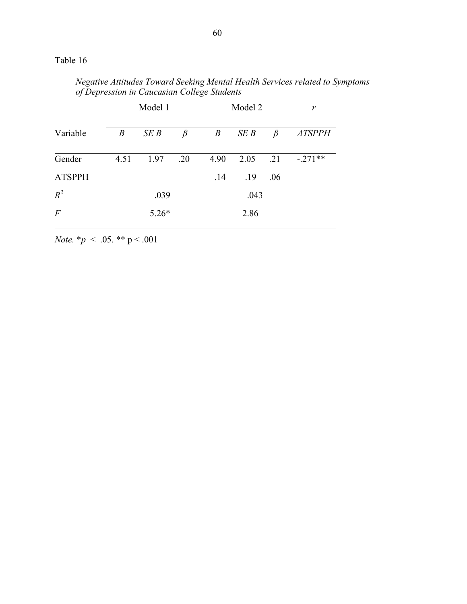*Negative Attitudes Toward Seeking Mental Health Services related to Symptoms of Depression in Caucasian College Students*

|                  | Model 1          |         |         | Model 2          | r    |         |               |
|------------------|------------------|---------|---------|------------------|------|---------|---------------|
| Variable         | $\boldsymbol{B}$ | SEB     | $\beta$ | $\boldsymbol{B}$ | SEB  | $\beta$ | <b>ATSPPH</b> |
| Gender           | 4.51             | 1.97    | .20     | 4.90             | 2.05 | .21     | $-.271**$     |
| <b>ATSPPH</b>    |                  |         |         | .14              | .19  | .06     |               |
| $R^2$            | .039             |         |         |                  | .043 |         |               |
| $\boldsymbol{F}$ |                  | $5.26*$ |         |                  | 2.86 |         |               |

*Note.* \**p* < .05. \*\* p < .001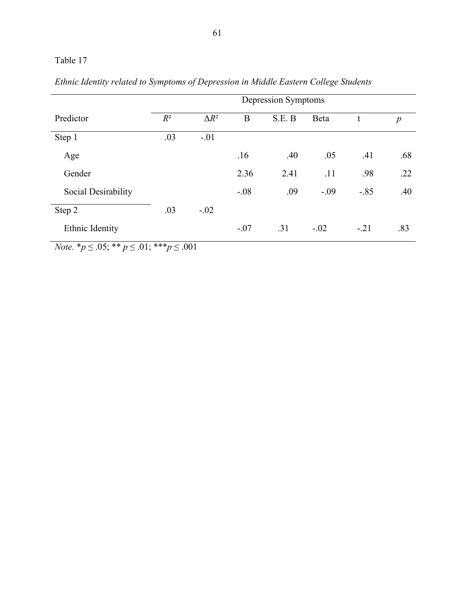|                     | Depression Symptoms |              |        |        |        |        |                  |  |  |
|---------------------|---------------------|--------------|--------|--------|--------|--------|------------------|--|--|
| Predictor           | $R^2$               | $\Delta R^2$ | B      | S.E. B | Beta   | t      | $\boldsymbol{p}$ |  |  |
| Step 1              | .03                 | $-.01$       |        |        |        |        |                  |  |  |
| Age                 |                     |              | .16    | .40    | .05    | .41    | .68              |  |  |
| Gender              |                     |              | 2.36   | 2.41   | .11    | .98    | .22              |  |  |
| Social Desirability |                     |              | $-.08$ | .09    | $-.09$ | $-.85$ | .40              |  |  |
| Step 2              | .03                 | $-.02$       |        |        |        |        |                  |  |  |
| Ethnic Identity     |                     |              | $-.07$ | .31    | $-.02$ | $-.21$ | .83              |  |  |

*Ethnic Identity related to Symptoms of Depression in Middle Eastern College Students*

*Note.*  ${}^*p \leq .05$ ;  ${}^{**}p \leq .01$ ;  ${}^{***}p \leq .001$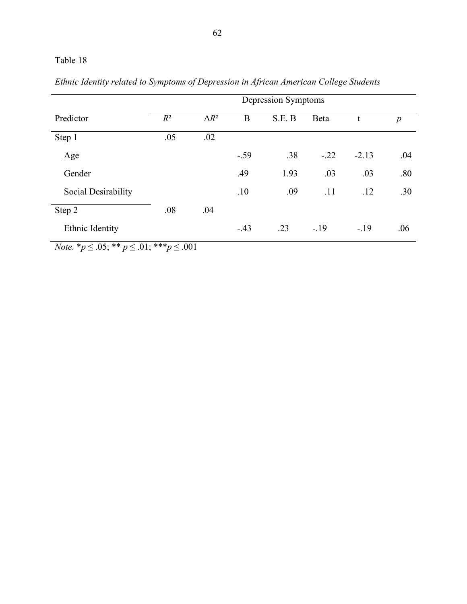|                     | Depression Symptoms |              |        |        |        |         |                  |  |  |
|---------------------|---------------------|--------------|--------|--------|--------|---------|------------------|--|--|
| Predictor           | $R^2$               | $\Delta R^2$ | B      | S.E. B | Beta   | t       | $\boldsymbol{p}$ |  |  |
| Step 1              | .05                 | .02          |        |        |        |         |                  |  |  |
| Age                 |                     |              | $-.59$ | .38    | $-.22$ | $-2.13$ | .04              |  |  |
| Gender              |                     |              | .49    | 1.93   | .03    | .03     | .80              |  |  |
| Social Desirability |                     |              | .10    | .09    | .11    | .12     | .30              |  |  |
| Step 2              | .08                 | .04          |        |        |        |         |                  |  |  |
| Ethnic Identity     |                     |              | $-.43$ | .23    | $-.19$ | $-.19$  | .06              |  |  |

*Ethnic Identity related to Symptoms of Depression in African American College Students*

*Note.*  ${}^*p \leq .05$ ;  ${}^{**}p \leq .01$ ;  ${}^{***}p \leq .001$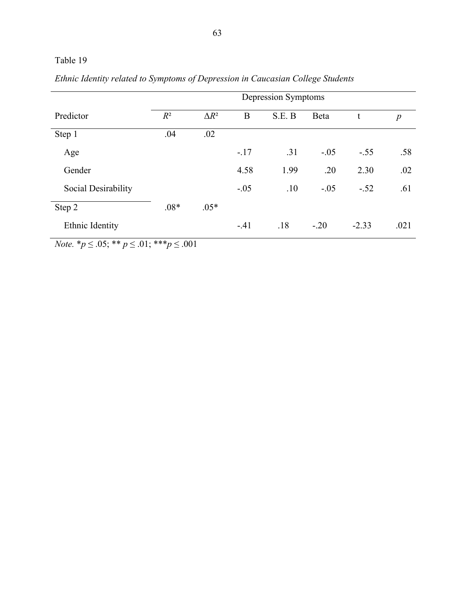|                     | Depression Symptoms |              |        |        |        |         |                  |  |
|---------------------|---------------------|--------------|--------|--------|--------|---------|------------------|--|
| Predictor           | $R^2$               | $\Delta R^2$ | B      | S.E. B | Beta   | t       | $\boldsymbol{p}$ |  |
| Step 1              | .04                 | .02          |        |        |        |         |                  |  |
| Age                 |                     |              | $-.17$ | .31    | $-.05$ | $-.55$  | .58              |  |
| Gender              |                     |              | 4.58   | 1.99   | .20    | 2.30    | .02              |  |
| Social Desirability |                     |              | $-.05$ | .10    | $-.05$ | $-.52$  | .61              |  |
| Step 2              | $.08*$              | $.05*$       |        |        |        |         |                  |  |
| Ethnic Identity     |                     |              | $-41$  | .18    | $-.20$ | $-2.33$ | .021             |  |

*Ethnic Identity related to Symptoms of Depression in Caucasian College Students*

*Note.* \* $p \le 0.05$ ; \*\*  $p \le 0.01$ ; \*\*\* $p \le 0.001$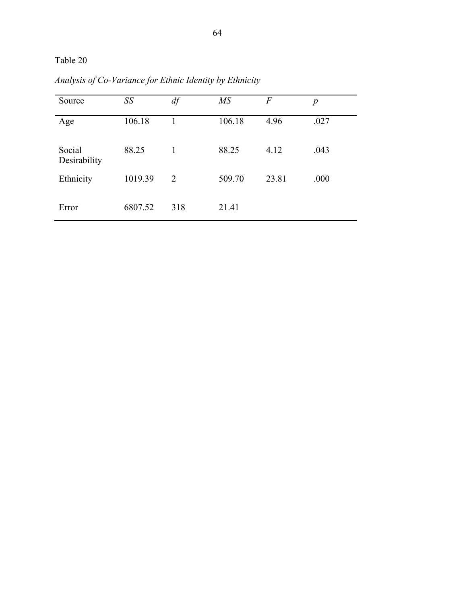Table 20

| Source                 | SS      | df  | $\overline{MS}$ | F     | $\boldsymbol{p}$ |
|------------------------|---------|-----|-----------------|-------|------------------|
| Age                    | 106.18  |     | 106.18          | 4.96  | .027             |
| Social<br>Desirability | 88.25   | 1   | 88.25           | 4.12  | .043             |
| Ethnicity              | 1019.39 | 2   | 509.70          | 23.81 | .000             |
| Error                  | 6807.52 | 318 | 21.41           |       |                  |

*Analysis of Co-Variance for Ethnic Identity by Ethnicity*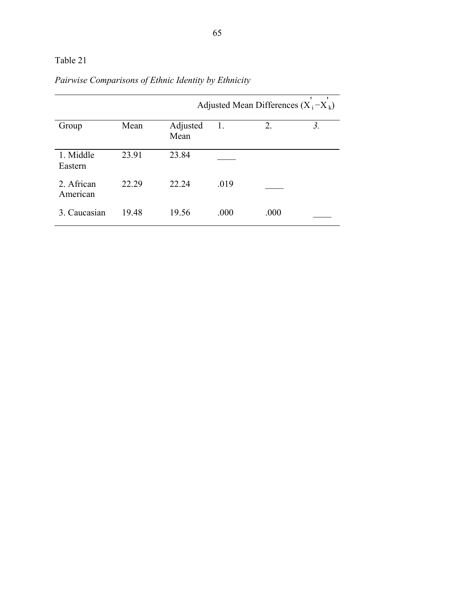## Table 21

|                        |       | Adjusted Mean Differences $(X_i - X_k)$ |      |      |    |
|------------------------|-------|-----------------------------------------|------|------|----|
| Group                  | Mean  | Adjusted<br>Mean                        | 1.   | 2.   | 3. |
| 1. Middle<br>Eastern   | 23.91 | 23.84                                   |      |      |    |
| 2. African<br>American | 22.29 | 22.24                                   | .019 |      |    |
| 3. Caucasian           | 1948  | 19.56                                   | .000 | .000 |    |

# *Pairwise Comparisons of Ethnic Identity by Ethnicity*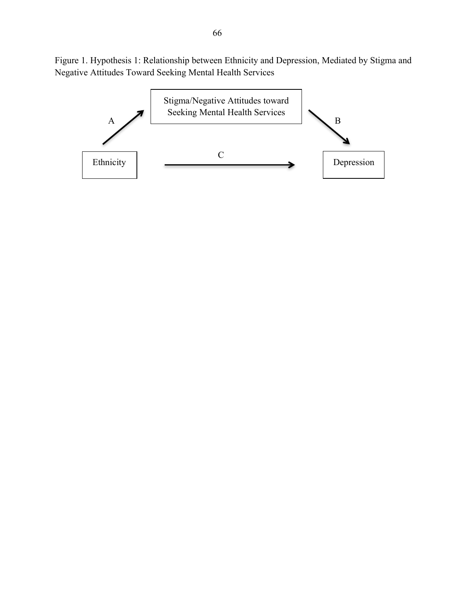Figure 1. Hypothesis 1: Relationship between Ethnicity and Depression, Mediated by Stigma and Negative Attitudes Toward Seeking Mental Health Services

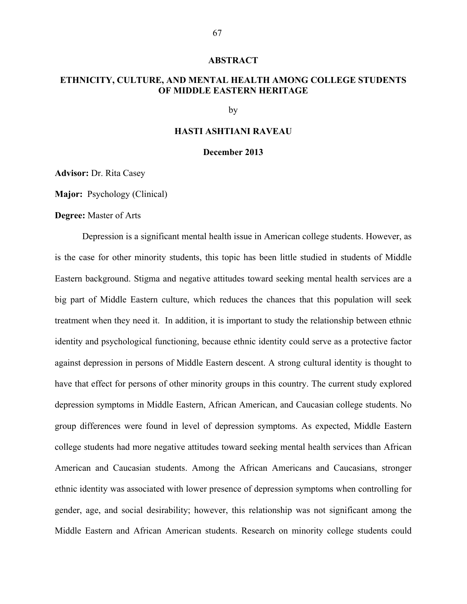#### **ABSTRACT**

## **ETHNICITY, CULTURE, AND MENTAL HEALTH AMONG COLLEGE STUDENTS OF MIDDLE EASTERN HERITAGE**

by

## **HASTI ASHTIANI RAVEAU**

#### **December 2013**

**Advisor:** Dr. Rita Casey

**Major:** Psychology (Clinical)

**Degree:** Master of Arts

Depression is a significant mental health issue in American college students. However, as is the case for other minority students, this topic has been little studied in students of Middle Eastern background. Stigma and negative attitudes toward seeking mental health services are a big part of Middle Eastern culture, which reduces the chances that this population will seek treatment when they need it. In addition, it is important to study the relationship between ethnic identity and psychological functioning, because ethnic identity could serve as a protective factor against depression in persons of Middle Eastern descent. A strong cultural identity is thought to have that effect for persons of other minority groups in this country. The current study explored depression symptoms in Middle Eastern, African American, and Caucasian college students. No group differences were found in level of depression symptoms. As expected, Middle Eastern college students had more negative attitudes toward seeking mental health services than African American and Caucasian students. Among the African Americans and Caucasians, stronger ethnic identity was associated with lower presence of depression symptoms when controlling for gender, age, and social desirability; however, this relationship was not significant among the Middle Eastern and African American students. Research on minority college students could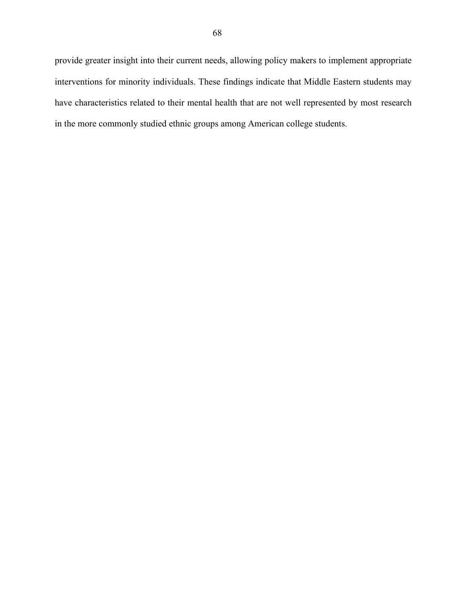provide greater insight into their current needs, allowing policy makers to implement appropriate interventions for minority individuals. These findings indicate that Middle Eastern students may have characteristics related to their mental health that are not well represented by most research in the more commonly studied ethnic groups among American college students.